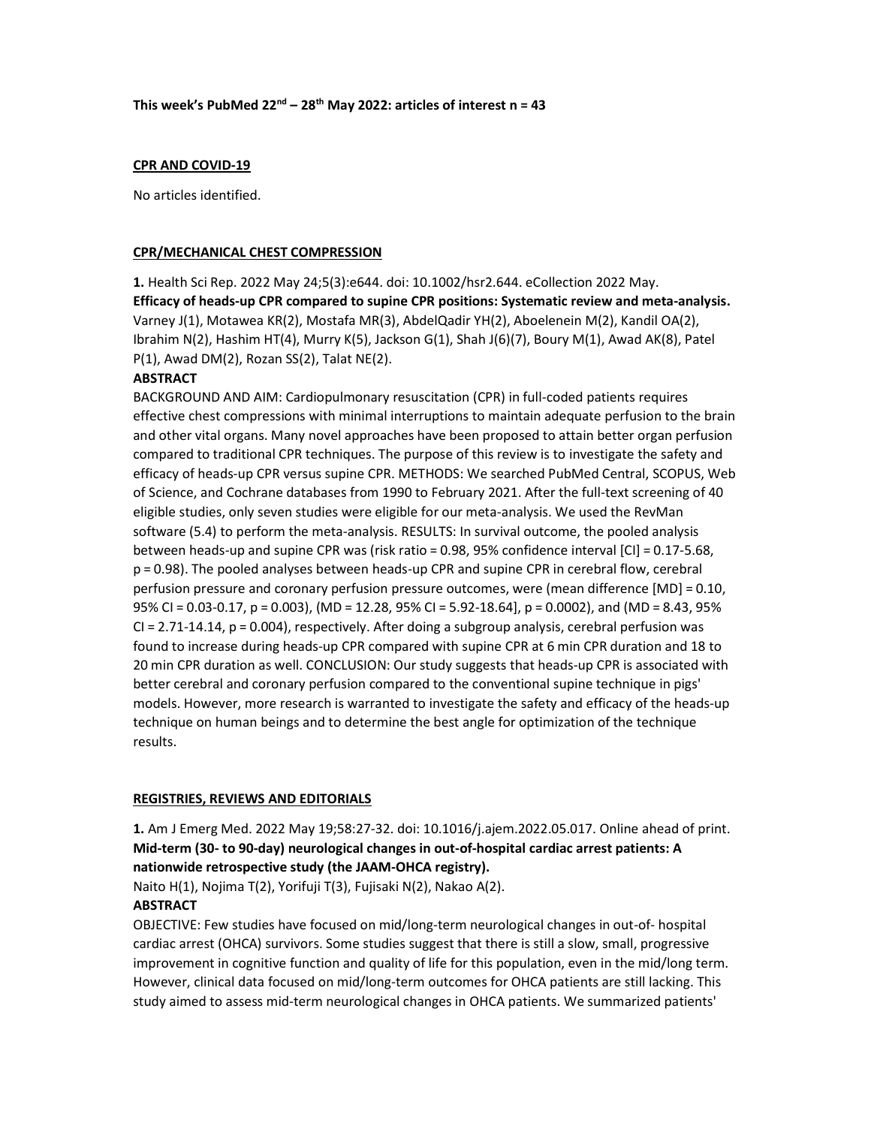# CPR AND COVID-19

No articles identified.

## CPR/MECHANICAL CHEST COMPRESSION

1. Health Sci Rep. 2022 May 24;5(3):e644. doi: 10.1002/hsr2.644. eCollection 2022 May. Efficacy of heads-up CPR compared to supine CPR positions: Systematic review and meta-analysis. Varney J(1), Motawea KR(2), Mostafa MR(3), AbdelQadir YH(2), Aboelenein M(2), Kandil OA(2), Ibrahim N(2), Hashim HT(4), Murry K(5), Jackson G(1), Shah J(6)(7), Boury M(1), Awad AK(8), Patel P(1), Awad DM(2), Rozan SS(2), Talat NE(2).

## **ABSTRACT**

BACKGROUND AND AIM: Cardiopulmonary resuscitation (CPR) in full-coded patients requires effective chest compressions with minimal interruptions to maintain adequate perfusion to the brain and other vital organs. Many novel approaches have been proposed to attain better organ perfusion compared to traditional CPR techniques. The purpose of this review is to investigate the safety and efficacy of heads-up CPR versus supine CPR. METHODS: We searched PubMed Central, SCOPUS, Web of Science, and Cochrane databases from 1990 to February 2021. After the full-text screening of 40 eligible studies, only seven studies were eligible for our meta-analysis. We used the RevMan software (5.4) to perform the meta-analysis. RESULTS: In survival outcome, the pooled analysis between heads-up and supine CPR was (risk ratio = 0.98, 95% confidence interval [CI] = 0.17-5.68, p = 0.98). The pooled analyses between heads-up CPR and supine CPR in cerebral flow, cerebral perfusion pressure and coronary perfusion pressure outcomes, were (mean difference [MD] = 0.10, 95% CI = 0.03-0.17, p = 0.003), (MD = 12.28, 95% CI = 5.92-18.64], p = 0.0002), and (MD = 8.43, 95% CI = 2.71-14.14, p = 0.004), respectively. After doing a subgroup analysis, cerebral perfusion was found to increase during heads-up CPR compared with supine CPR at 6 min CPR duration and 18 to 20 min CPR duration as well. CONCLUSION: Our study suggests that heads-up CPR is associated with better cerebral and coronary perfusion compared to the conventional supine technique in pigs' models. However, more research is warranted to investigate the safety and efficacy of the heads-up technique on human beings and to determine the best angle for optimization of the technique results.

## REGISTRIES, REVIEWS AND EDITORIALS

1. Am J Emerg Med. 2022 May 19;58:27-32. doi: 10.1016/j.ajem.2022.05.017. Online ahead of print. Mid-term (30- to 90-day) neurological changes in out-of-hospital cardiac arrest patients: A nationwide retrospective study (the JAAM-OHCA registry).

Naito H(1), Nojima T(2), Yorifuji T(3), Fujisaki N(2), Nakao A(2). **ABSTRACT** 

OBJECTIVE: Few studies have focused on mid/long-term neurological changes in out-of- hospital cardiac arrest (OHCA) survivors. Some studies suggest that there is still a slow, small, progressive improvement in cognitive function and quality of life for this population, even in the mid/long term. However, clinical data focused on mid/long-term outcomes for OHCA patients are still lacking. This study aimed to assess mid-term neurological changes in OHCA patients. We summarized patients'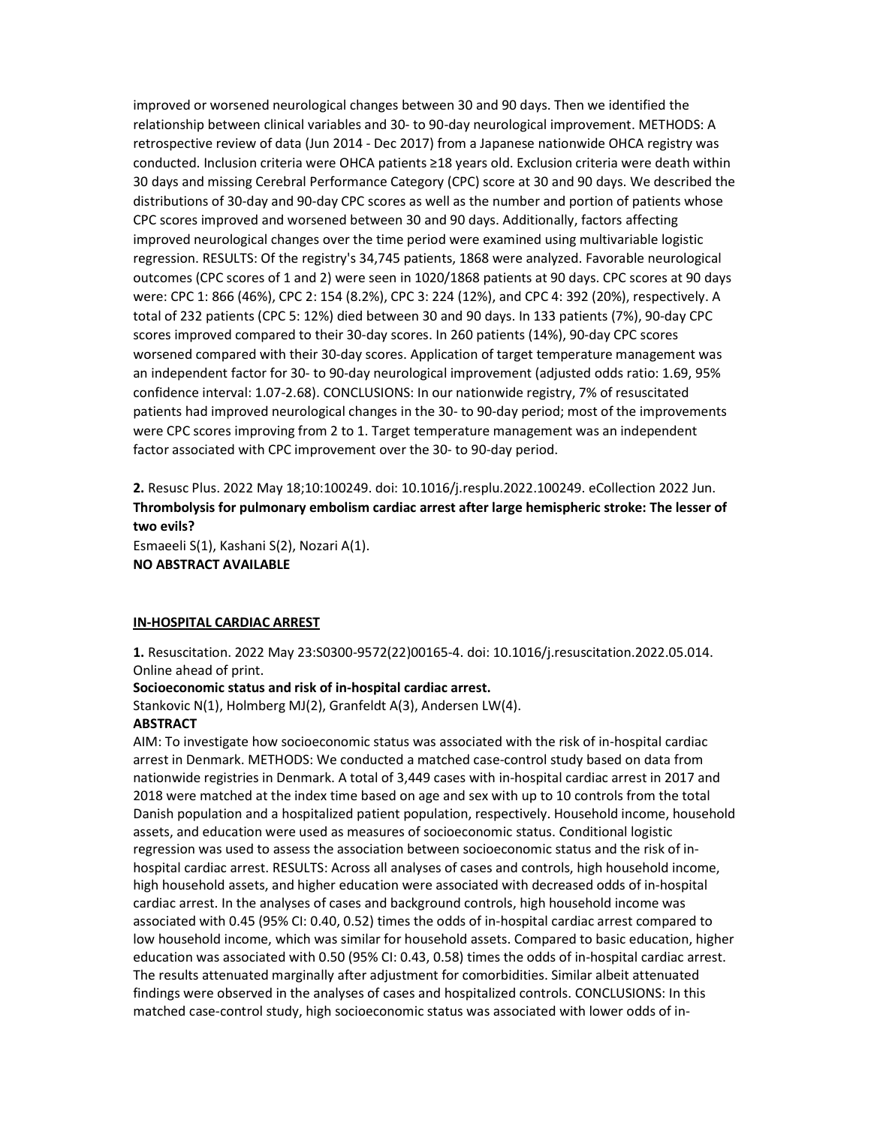improved or worsened neurological changes between 30 and 90 days. Then we identified the relationship between clinical variables and 30- to 90-day neurological improvement. METHODS: A retrospective review of data (Jun 2014 - Dec 2017) from a Japanese nationwide OHCA registry was conducted. Inclusion criteria were OHCA patients ≥18 years old. Exclusion criteria were death within 30 days and missing Cerebral Performance Category (CPC) score at 30 and 90 days. We described the distributions of 30-day and 90-day CPC scores as well as the number and portion of patients whose CPC scores improved and worsened between 30 and 90 days. Additionally, factors affecting improved neurological changes over the time period were examined using multivariable logistic regression. RESULTS: Of the registry's 34,745 patients, 1868 were analyzed. Favorable neurological outcomes (CPC scores of 1 and 2) were seen in 1020/1868 patients at 90 days. CPC scores at 90 days were: CPC 1: 866 (46%), CPC 2: 154 (8.2%), CPC 3: 224 (12%), and CPC 4: 392 (20%), respectively. A total of 232 patients (CPC 5: 12%) died between 30 and 90 days. In 133 patients (7%), 90-day CPC scores improved compared to their 30-day scores. In 260 patients (14%), 90-day CPC scores worsened compared with their 30-day scores. Application of target temperature management was an independent factor for 30- to 90-day neurological improvement (adjusted odds ratio: 1.69, 95% confidence interval: 1.07-2.68). CONCLUSIONS: In our nationwide registry, 7% of resuscitated patients had improved neurological changes in the 30- to 90-day period; most of the improvements were CPC scores improving from 2 to 1. Target temperature management was an independent factor associated with CPC improvement over the 30- to 90-day period.

2. Resusc Plus. 2022 May 18;10:100249. doi: 10.1016/j.resplu.2022.100249. eCollection 2022 Jun. Thrombolysis for pulmonary embolism cardiac arrest after large hemispheric stroke: The lesser of two evils?

Esmaeeli S(1), Kashani S(2), Nozari A(1). NO ABSTRACT AVAILABLE

#### IN-HOSPITAL CARDIAC ARREST

1. Resuscitation. 2022 May 23:S0300-9572(22)00165-4. doi: 10.1016/j.resuscitation.2022.05.014. Online ahead of print.

## Socioeconomic status and risk of in-hospital cardiac arrest.

Stankovic N(1), Holmberg MJ(2), Granfeldt A(3), Andersen LW(4).

#### **ABSTRACT**

AIM: To investigate how socioeconomic status was associated with the risk of in-hospital cardiac arrest in Denmark. METHODS: We conducted a matched case-control study based on data from nationwide registries in Denmark. A total of 3,449 cases with in-hospital cardiac arrest in 2017 and 2018 were matched at the index time based on age and sex with up to 10 controls from the total Danish population and a hospitalized patient population, respectively. Household income, household assets, and education were used as measures of socioeconomic status. Conditional logistic regression was used to assess the association between socioeconomic status and the risk of inhospital cardiac arrest. RESULTS: Across all analyses of cases and controls, high household income, high household assets, and higher education were associated with decreased odds of in-hospital cardiac arrest. In the analyses of cases and background controls, high household income was associated with 0.45 (95% CI: 0.40, 0.52) times the odds of in-hospital cardiac arrest compared to low household income, which was similar for household assets. Compared to basic education, higher education was associated with 0.50 (95% CI: 0.43, 0.58) times the odds of in-hospital cardiac arrest. The results attenuated marginally after adjustment for comorbidities. Similar albeit attenuated findings were observed in the analyses of cases and hospitalized controls. CONCLUSIONS: In this matched case-control study, high socioeconomic status was associated with lower odds of in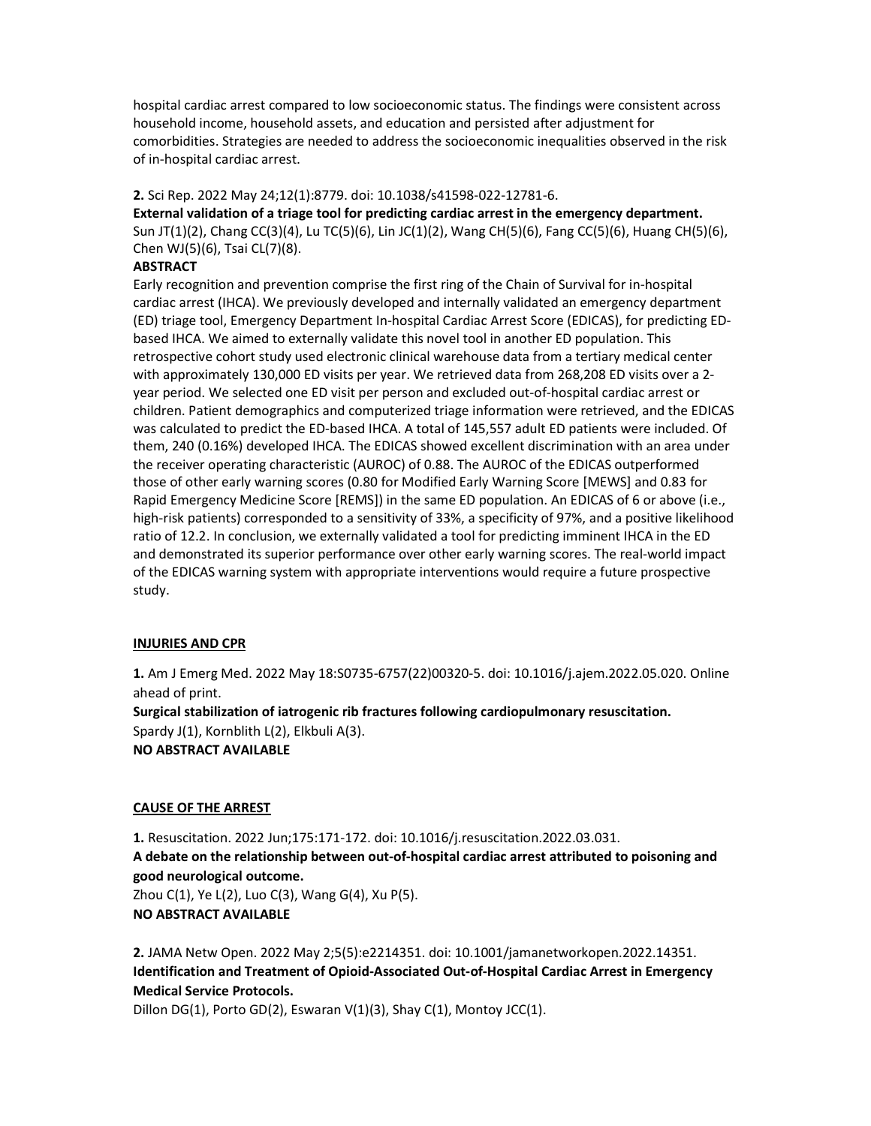hospital cardiac arrest compared to low socioeconomic status. The findings were consistent across household income, household assets, and education and persisted after adjustment for comorbidities. Strategies are needed to address the socioeconomic inequalities observed in the risk of in-hospital cardiac arrest.

## 2. Sci Rep. 2022 May 24;12(1):8779. doi: 10.1038/s41598-022-12781-6.

External validation of a triage tool for predicting cardiac arrest in the emergency department. Sun JT(1)(2), Chang CC(3)(4), Lu TC(5)(6), Lin JC(1)(2), Wang CH(5)(6), Fang CC(5)(6), Huang CH(5)(6), Chen WJ(5)(6), Tsai CL(7)(8).

## **ABSTRACT**

Early recognition and prevention comprise the first ring of the Chain of Survival for in-hospital cardiac arrest (IHCA). We previously developed and internally validated an emergency department (ED) triage tool, Emergency Department In-hospital Cardiac Arrest Score (EDICAS), for predicting EDbased IHCA. We aimed to externally validate this novel tool in another ED population. This retrospective cohort study used electronic clinical warehouse data from a tertiary medical center with approximately 130,000 ED visits per year. We retrieved data from 268,208 ED visits over a 2 year period. We selected one ED visit per person and excluded out-of-hospital cardiac arrest or children. Patient demographics and computerized triage information were retrieved, and the EDICAS was calculated to predict the ED-based IHCA. A total of 145,557 adult ED patients were included. Of them, 240 (0.16%) developed IHCA. The EDICAS showed excellent discrimination with an area under the receiver operating characteristic (AUROC) of 0.88. The AUROC of the EDICAS outperformed those of other early warning scores (0.80 for Modified Early Warning Score [MEWS] and 0.83 for Rapid Emergency Medicine Score [REMS]) in the same ED population. An EDICAS of 6 or above (i.e., high-risk patients) corresponded to a sensitivity of 33%, a specificity of 97%, and a positive likelihood ratio of 12.2. In conclusion, we externally validated a tool for predicting imminent IHCA in the ED and demonstrated its superior performance over other early warning scores. The real-world impact of the EDICAS warning system with appropriate interventions would require a future prospective study.

## INJURIES AND CPR

1. Am J Emerg Med. 2022 May 18:S0735-6757(22)00320-5. doi: 10.1016/j.ajem.2022.05.020. Online ahead of print.

Surgical stabilization of iatrogenic rib fractures following cardiopulmonary resuscitation. Spardy J(1), Kornblith L(2), Elkbuli A(3). NO ABSTRACT AVAILABLE

#### CAUSE OF THE ARREST

1. Resuscitation. 2022 Jun;175:171-172. doi: 10.1016/j.resuscitation.2022.03.031. A debate on the relationship between out-of-hospital cardiac arrest attributed to poisoning and good neurological outcome. Zhou C(1), Ye L(2), Luo C(3), Wang G(4), Xu P(5). NO ABSTRACT AVAILABLE

2. JAMA Netw Open. 2022 May 2;5(5):e2214351. doi: 10.1001/jamanetworkopen.2022.14351. Identification and Treatment of Opioid-Associated Out-of-Hospital Cardiac Arrest in Emergency Medical Service Protocols.

Dillon DG(1), Porto GD(2), Eswaran V(1)(3), Shay C(1), Montoy JCC(1).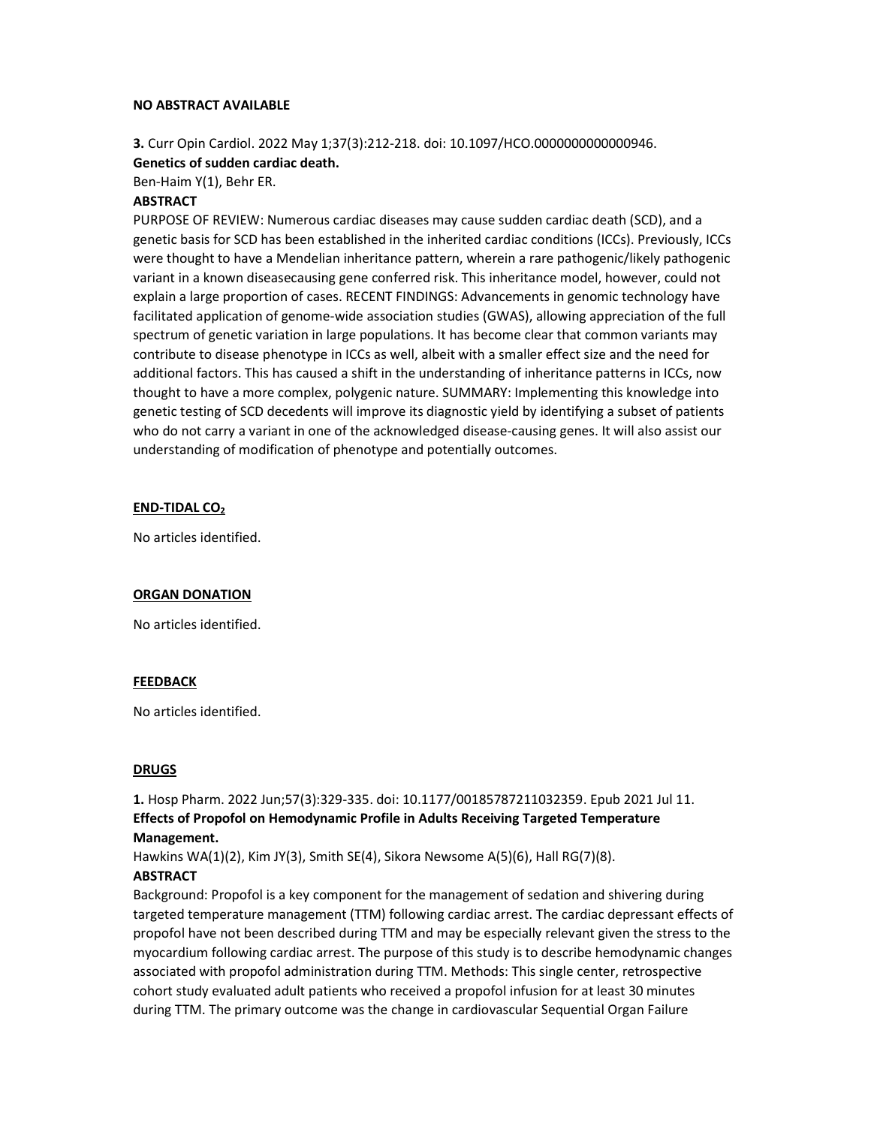#### NO ABSTRACT AVAILABLE

# 3. Curr Opin Cardiol. 2022 May 1;37(3):212-218. doi: 10.1097/HCO.0000000000000946. Genetics of sudden cardiac death.

Ben-Haim Y(1), Behr ER.

## **ABSTRACT**

PURPOSE OF REVIEW: Numerous cardiac diseases may cause sudden cardiac death (SCD), and a genetic basis for SCD has been established in the inherited cardiac conditions (ICCs). Previously, ICCs were thought to have a Mendelian inheritance pattern, wherein a rare pathogenic/likely pathogenic variant in a known diseasecausing gene conferred risk. This inheritance model, however, could not explain a large proportion of cases. RECENT FINDINGS: Advancements in genomic technology have facilitated application of genome-wide association studies (GWAS), allowing appreciation of the full spectrum of genetic variation in large populations. It has become clear that common variants may contribute to disease phenotype in ICCs as well, albeit with a smaller effect size and the need for additional factors. This has caused a shift in the understanding of inheritance patterns in ICCs, now thought to have a more complex, polygenic nature. SUMMARY: Implementing this knowledge into genetic testing of SCD decedents will improve its diagnostic yield by identifying a subset of patients who do not carry a variant in one of the acknowledged disease-causing genes. It will also assist our understanding of modification of phenotype and potentially outcomes.

## END-TIDAL CO<sup>2</sup>

No articles identified.

## ORGAN DONATION

No articles identified.

## FEEDBACK

No articles identified.

#### **DRUGS**

1. Hosp Pharm. 2022 Jun;57(3):329-335. doi: 10.1177/00185787211032359. Epub 2021 Jul 11. Effects of Propofol on Hemodynamic Profile in Adults Receiving Targeted Temperature Management.

Hawkins WA(1)(2), Kim JY(3), Smith SE(4), Sikora Newsome A(5)(6), Hall RG(7)(8).

## **ABSTRACT**

Background: Propofol is a key component for the management of sedation and shivering during targeted temperature management (TTM) following cardiac arrest. The cardiac depressant effects of propofol have not been described during TTM and may be especially relevant given the stress to the myocardium following cardiac arrest. The purpose of this study is to describe hemodynamic changes associated with propofol administration during TTM. Methods: This single center, retrospective cohort study evaluated adult patients who received a propofol infusion for at least 30 minutes during TTM. The primary outcome was the change in cardiovascular Sequential Organ Failure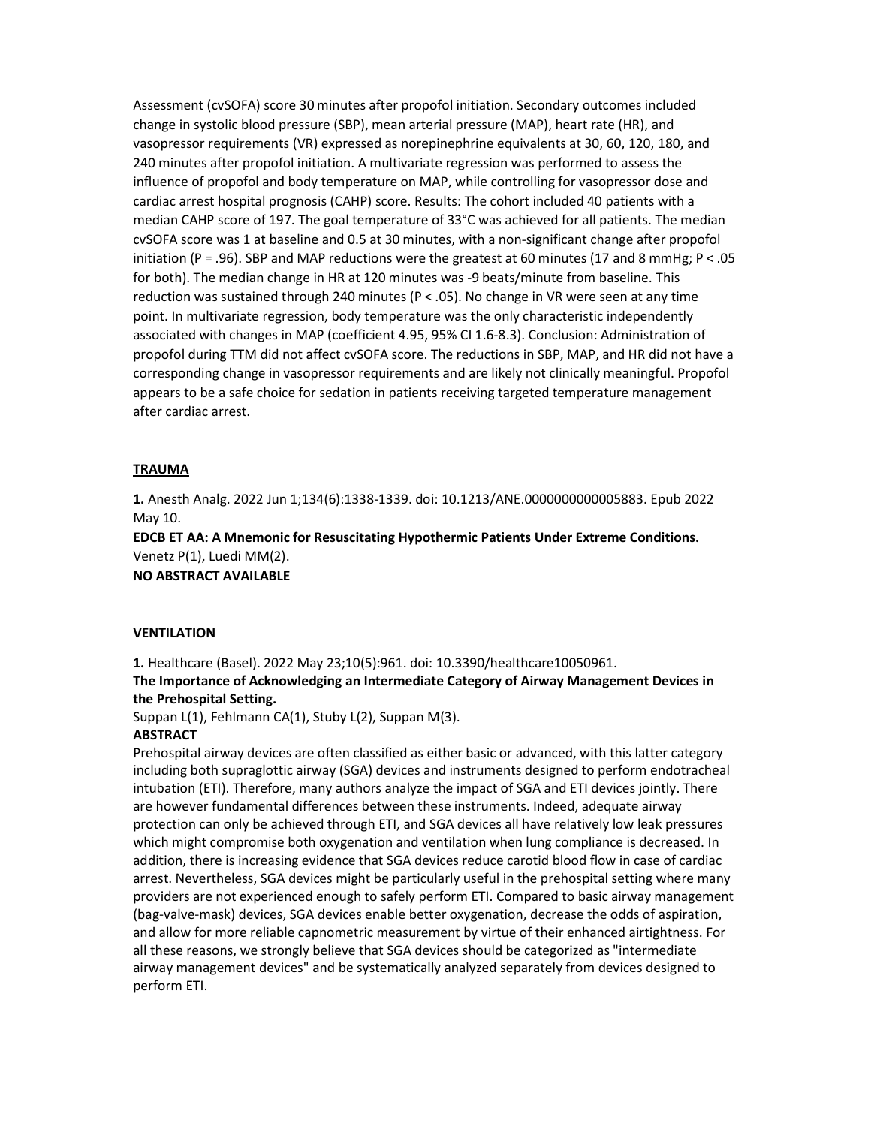Assessment (cvSOFA) score 30 minutes after propofol initiation. Secondary outcomes included change in systolic blood pressure (SBP), mean arterial pressure (MAP), heart rate (HR), and vasopressor requirements (VR) expressed as norepinephrine equivalents at 30, 60, 120, 180, and 240 minutes after propofol initiation. A multivariate regression was performed to assess the influence of propofol and body temperature on MAP, while controlling for vasopressor dose and cardiac arrest hospital prognosis (CAHP) score. Results: The cohort included 40 patients with a median CAHP score of 197. The goal temperature of 33°C was achieved for all patients. The median cvSOFA score was 1 at baseline and 0.5 at 30 minutes, with a non-significant change after propofol initiation (P = .96). SBP and MAP reductions were the greatest at 60 minutes (17 and 8 mmHg; P < .05 for both). The median change in HR at 120 minutes was -9 beats/minute from baseline. This reduction was sustained through 240 minutes (P < .05). No change in VR were seen at any time point. In multivariate regression, body temperature was the only characteristic independently associated with changes in MAP (coefficient 4.95, 95% CI 1.6-8.3). Conclusion: Administration of propofol during TTM did not affect cvSOFA score. The reductions in SBP, MAP, and HR did not have a corresponding change in vasopressor requirements and are likely not clinically meaningful. Propofol appears to be a safe choice for sedation in patients receiving targeted temperature management after cardiac arrest.

#### TRAUMA

1. Anesth Analg. 2022 Jun 1;134(6):1338-1339. doi: 10.1213/ANE.0000000000005883. Epub 2022 May 10.

EDCB ET AA: A Mnemonic for Resuscitating Hypothermic Patients Under Extreme Conditions. Venetz P(1), Luedi MM(2).

NO ABSTRACT AVAILABLE

## **VENTILATION**

1. Healthcare (Basel). 2022 May 23;10(5):961. doi: 10.3390/healthcare10050961. The Importance of Acknowledging an Intermediate Category of Airway Management Devices in the Prehospital Setting.

Suppan L(1), Fehlmann CA(1), Stuby L(2), Suppan M(3).

## **ABSTRACT**

Prehospital airway devices are often classified as either basic or advanced, with this latter category including both supraglottic airway (SGA) devices and instruments designed to perform endotracheal intubation (ETI). Therefore, many authors analyze the impact of SGA and ETI devices jointly. There are however fundamental differences between these instruments. Indeed, adequate airway protection can only be achieved through ETI, and SGA devices all have relatively low leak pressures which might compromise both oxygenation and ventilation when lung compliance is decreased. In addition, there is increasing evidence that SGA devices reduce carotid blood flow in case of cardiac arrest. Nevertheless, SGA devices might be particularly useful in the prehospital setting where many providers are not experienced enough to safely perform ETI. Compared to basic airway management (bag-valve-mask) devices, SGA devices enable better oxygenation, decrease the odds of aspiration, and allow for more reliable capnometric measurement by virtue of their enhanced airtightness. For all these reasons, we strongly believe that SGA devices should be categorized as "intermediate airway management devices" and be systematically analyzed separately from devices designed to perform ETI.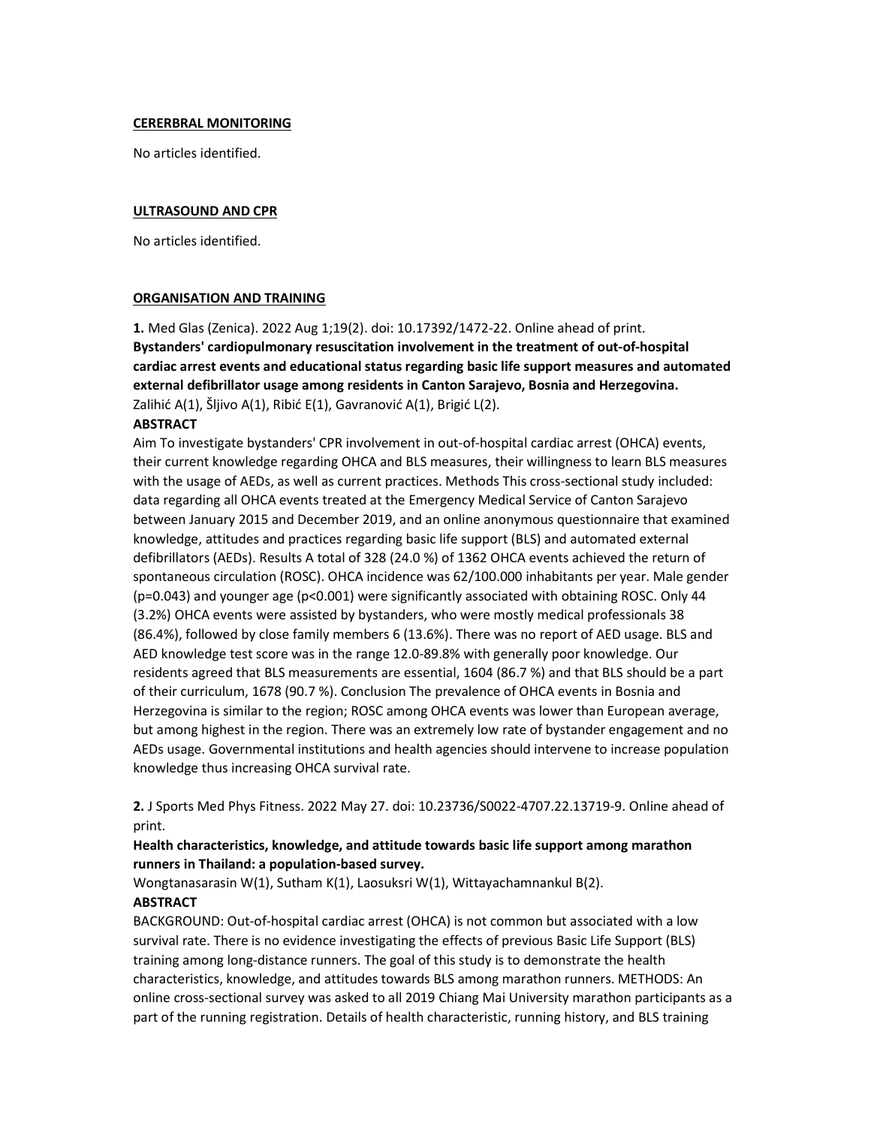## CERERBRAL MONITORING

No articles identified.

# ULTRASOUND AND CPR

No articles identified.

## ORGANISATION AND TRAINING

1. Med Glas (Zenica). 2022 Aug 1;19(2). doi: 10.17392/1472-22. Online ahead of print. Bystanders' cardiopulmonary resuscitation involvement in the treatment of out-of-hospital cardiac arrest events and educational status regarding basic life support measures and automated external defibrillator usage among residents in Canton Sarajevo, Bosnia and Herzegovina. Zalihić A(1), Šljivo A(1), Ribić E(1), Gavranović A(1), Brigić L(2).

# **ABSTRACT**

Aim To investigate bystanders' CPR involvement in out-of-hospital cardiac arrest (OHCA) events, their current knowledge regarding OHCA and BLS measures, their willingness to learn BLS measures with the usage of AEDs, as well as current practices. Methods This cross-sectional study included: data regarding all OHCA events treated at the Emergency Medical Service of Canton Sarajevo between January 2015 and December 2019, and an online anonymous questionnaire that examined knowledge, attitudes and practices regarding basic life support (BLS) and automated external defibrillators (AEDs). Results A total of 328 (24.0 %) of 1362 OHCA events achieved the return of spontaneous circulation (ROSC). OHCA incidence was 62/100.000 inhabitants per year. Male gender (p=0.043) and younger age (p<0.001) were significantly associated with obtaining ROSC. Only 44 (3.2%) OHCA events were assisted by bystanders, who were mostly medical professionals 38 (86.4%), followed by close family members 6 (13.6%). There was no report of AED usage. BLS and AED knowledge test score was in the range 12.0-89.8% with generally poor knowledge. Our residents agreed that BLS measurements are essential, 1604 (86.7 %) and that BLS should be a part of their curriculum, 1678 (90.7 %). Conclusion The prevalence of OHCA events in Bosnia and Herzegovina is similar to the region; ROSC among OHCA events was lower than European average, but among highest in the region. There was an extremely low rate of bystander engagement and no AEDs usage. Governmental institutions and health agencies should intervene to increase population knowledge thus increasing OHCA survival rate.

2. J Sports Med Phys Fitness. 2022 May 27. doi: 10.23736/S0022-4707.22.13719-9. Online ahead of print.

# Health characteristics, knowledge, and attitude towards basic life support among marathon runners in Thailand: a population-based survey.

Wongtanasarasin W(1), Sutham K(1), Laosuksri W(1), Wittayachamnankul B(2).

## **ABSTRACT**

BACKGROUND: Out-of-hospital cardiac arrest (OHCA) is not common but associated with a low survival rate. There is no evidence investigating the effects of previous Basic Life Support (BLS) training among long-distance runners. The goal of this study is to demonstrate the health characteristics, knowledge, and attitudes towards BLS among marathon runners. METHODS: An online cross-sectional survey was asked to all 2019 Chiang Mai University marathon participants as a part of the running registration. Details of health characteristic, running history, and BLS training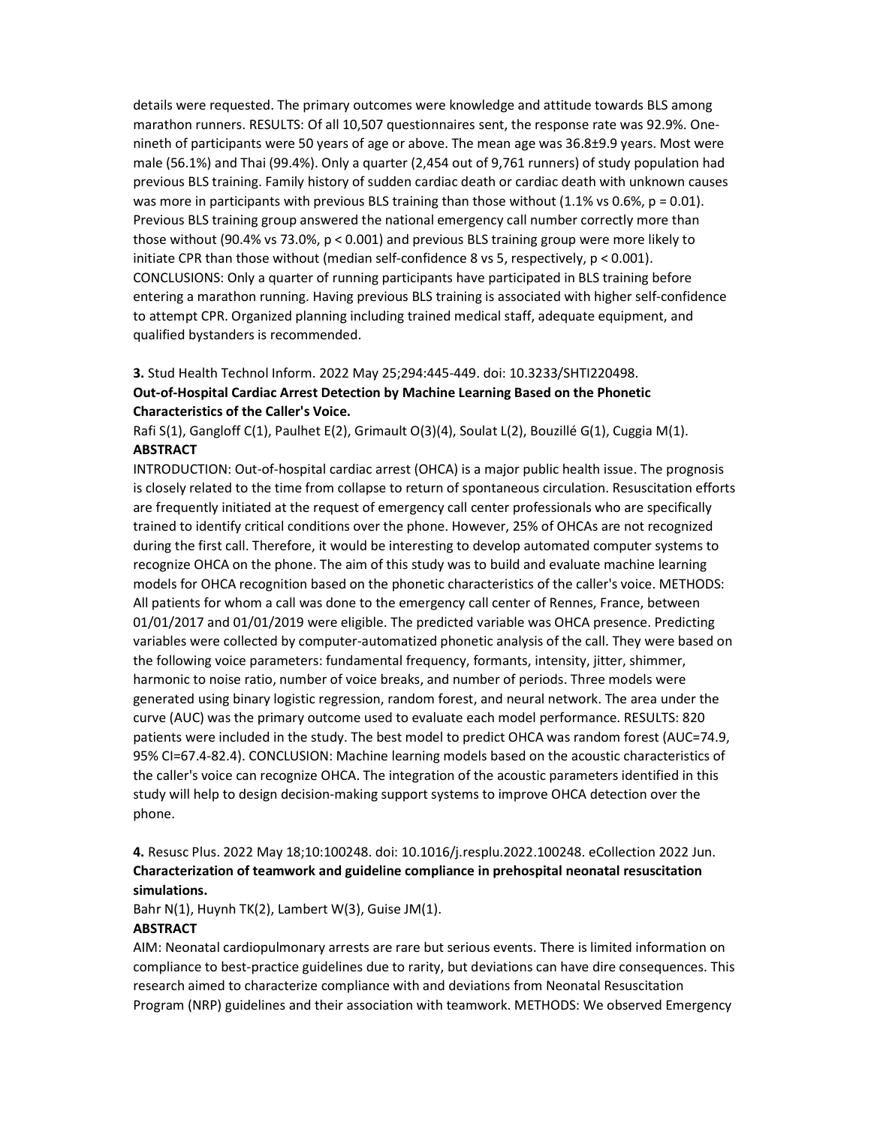details were requested. The primary outcomes were knowledge and attitude towards BLS among marathon runners. RESULTS: Of all 10,507 questionnaires sent, the response rate was 92.9%. Onenineth of participants were 50 years of age or above. The mean age was 36.8±9.9 years. Most were male (56.1%) and Thai (99.4%). Only a quarter (2,454 out of 9,761 runners) of study population had previous BLS training. Family history of sudden cardiac death or cardiac death with unknown causes was more in participants with previous BLS training than those without  $(1.1\% \text{ vs } 0.6\%, \text{ p = } 0.01)$ . Previous BLS training group answered the national emergency call number correctly more than those without (90.4% vs 73.0%, p < 0.001) and previous BLS training group were more likely to initiate CPR than those without (median self-confidence 8 vs 5, respectively, p < 0.001). CONCLUSIONS: Only a quarter of running participants have participated in BLS training before entering a marathon running. Having previous BLS training is associated with higher self-confidence to attempt CPR. Organized planning including trained medical staff, adequate equipment, and qualified bystanders is recommended.

# 3. Stud Health Technol Inform. 2022 May 25;294:445-449. doi: 10.3233/SHTI220498. Out-of-Hospital Cardiac Arrest Detection by Machine Learning Based on the Phonetic Characteristics of the Caller's Voice.

Rafi S(1), Gangloff C(1), Paulhet E(2), Grimault O(3)(4), Soulat L(2), Bouzillé G(1), Cuggia M(1). **ABSTRACT** 

INTRODUCTION: Out-of-hospital cardiac arrest (OHCA) is a major public health issue. The prognosis is closely related to the time from collapse to return of spontaneous circulation. Resuscitation efforts are frequently initiated at the request of emergency call center professionals who are specifically trained to identify critical conditions over the phone. However, 25% of OHCAs are not recognized during the first call. Therefore, it would be interesting to develop automated computer systems to recognize OHCA on the phone. The aim of this study was to build and evaluate machine learning models for OHCA recognition based on the phonetic characteristics of the caller's voice. METHODS: All patients for whom a call was done to the emergency call center of Rennes, France, between 01/01/2017 and 01/01/2019 were eligible. The predicted variable was OHCA presence. Predicting variables were collected by computer-automatized phonetic analysis of the call. They were based on the following voice parameters: fundamental frequency, formants, intensity, jitter, shimmer, harmonic to noise ratio, number of voice breaks, and number of periods. Three models were generated using binary logistic regression, random forest, and neural network. The area under the curve (AUC) was the primary outcome used to evaluate each model performance. RESULTS: 820 patients were included in the study. The best model to predict OHCA was random forest (AUC=74.9, 95% CI=67.4-82.4). CONCLUSION: Machine learning models based on the acoustic characteristics of the caller's voice can recognize OHCA. The integration of the acoustic parameters identified in this study will help to design decision-making support systems to improve OHCA detection over the phone.

# 4. Resusc Plus. 2022 May 18;10:100248. doi: 10.1016/j.resplu.2022.100248. eCollection 2022 Jun. Characterization of teamwork and guideline compliance in prehospital neonatal resuscitation simulations.

Bahr N(1), Huynh TK(2), Lambert W(3), Guise JM(1).

## **ABSTRACT**

AIM: Neonatal cardiopulmonary arrests are rare but serious events. There is limited information on compliance to best-practice guidelines due to rarity, but deviations can have dire consequences. This research aimed to characterize compliance with and deviations from Neonatal Resuscitation Program (NRP) guidelines and their association with teamwork. METHODS: We observed Emergency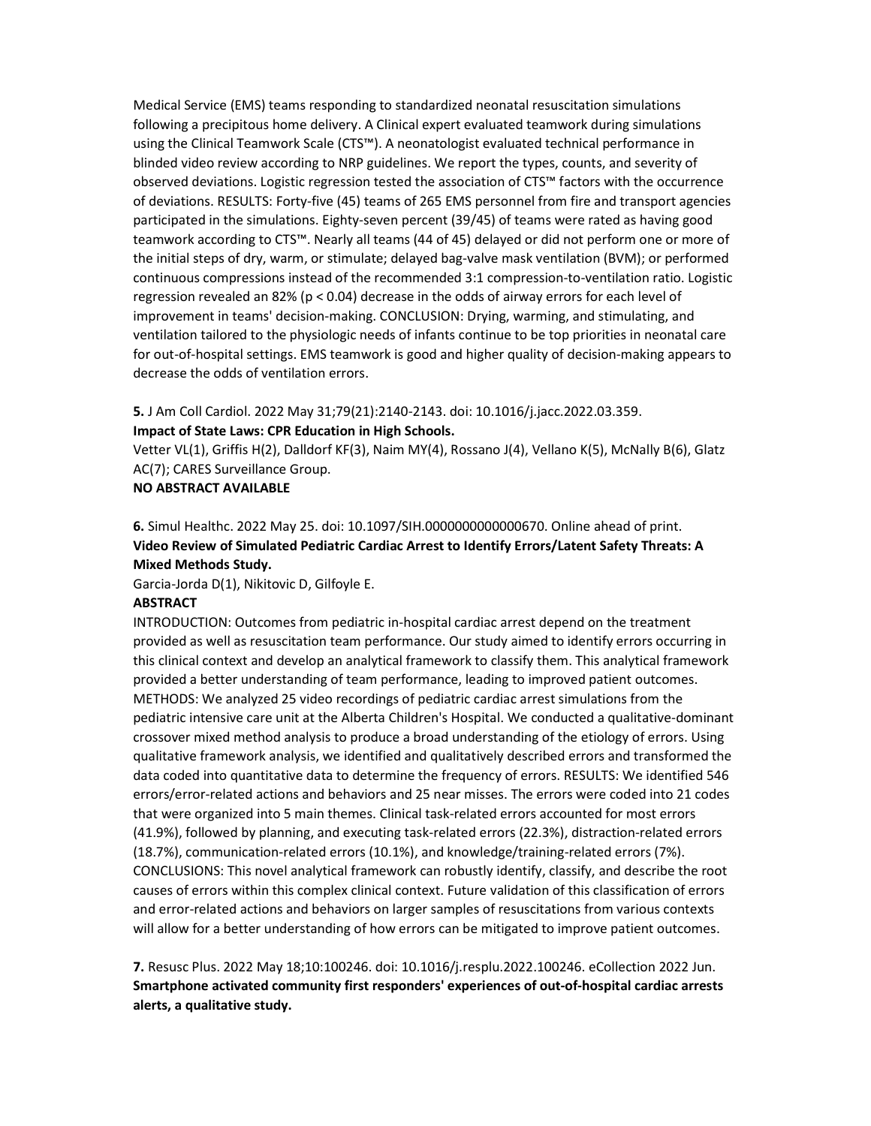Medical Service (EMS) teams responding to standardized neonatal resuscitation simulations following a precipitous home delivery. A Clinical expert evaluated teamwork during simulations using the Clinical Teamwork Scale (CTS™). A neonatologist evaluated technical performance in blinded video review according to NRP guidelines. We report the types, counts, and severity of observed deviations. Logistic regression tested the association of CTS™ factors with the occurrence of deviations. RESULTS: Forty-five (45) teams of 265 EMS personnel from fire and transport agencies participated in the simulations. Eighty-seven percent (39/45) of teams were rated as having good teamwork according to CTS™. Nearly all teams (44 of 45) delayed or did not perform one or more of the initial steps of dry, warm, or stimulate; delayed bag-valve mask ventilation (BVM); or performed continuous compressions instead of the recommended 3:1 compression-to-ventilation ratio. Logistic regression revealed an 82% (p < 0.04) decrease in the odds of airway errors for each level of improvement in teams' decision-making. CONCLUSION: Drying, warming, and stimulating, and ventilation tailored to the physiologic needs of infants continue to be top priorities in neonatal care for out-of-hospital settings. EMS teamwork is good and higher quality of decision-making appears to decrease the odds of ventilation errors.

# 5. J Am Coll Cardiol. 2022 May 31;79(21):2140-2143. doi: 10.1016/j.jacc.2022.03.359. Impact of State Laws: CPR Education in High Schools.

Vetter VL(1), Griffis H(2), Dalldorf KF(3), Naim MY(4), Rossano J(4), Vellano K(5), McNally B(6), Glatz AC(7); CARES Surveillance Group.

## NO ABSTRACT AVAILABLE

6. Simul Healthc. 2022 May 25. doi: 10.1097/SIH.0000000000000670. Online ahead of print. Video Review of Simulated Pediatric Cardiac Arrest to Identify Errors/Latent Safety Threats: A Mixed Methods Study.

Garcia-Jorda D(1), Nikitovic D, Gilfoyle E.

## ABSTRACT

INTRODUCTION: Outcomes from pediatric in-hospital cardiac arrest depend on the treatment provided as well as resuscitation team performance. Our study aimed to identify errors occurring in this clinical context and develop an analytical framework to classify them. This analytical framework provided a better understanding of team performance, leading to improved patient outcomes. METHODS: We analyzed 25 video recordings of pediatric cardiac arrest simulations from the pediatric intensive care unit at the Alberta Children's Hospital. We conducted a qualitative-dominant crossover mixed method analysis to produce a broad understanding of the etiology of errors. Using qualitative framework analysis, we identified and qualitatively described errors and transformed the data coded into quantitative data to determine the frequency of errors. RESULTS: We identified 546 errors/error-related actions and behaviors and 25 near misses. The errors were coded into 21 codes that were organized into 5 main themes. Clinical task-related errors accounted for most errors (41.9%), followed by planning, and executing task-related errors (22.3%), distraction-related errors (18.7%), communication-related errors (10.1%), and knowledge/training-related errors (7%). CONCLUSIONS: This novel analytical framework can robustly identify, classify, and describe the root causes of errors within this complex clinical context. Future validation of this classification of errors and error-related actions and behaviors on larger samples of resuscitations from various contexts will allow for a better understanding of how errors can be mitigated to improve patient outcomes.

7. Resusc Plus. 2022 May 18;10:100246. doi: 10.1016/j.resplu.2022.100246. eCollection 2022 Jun. Smartphone activated community first responders' experiences of out-of-hospital cardiac arrests alerts, a qualitative study.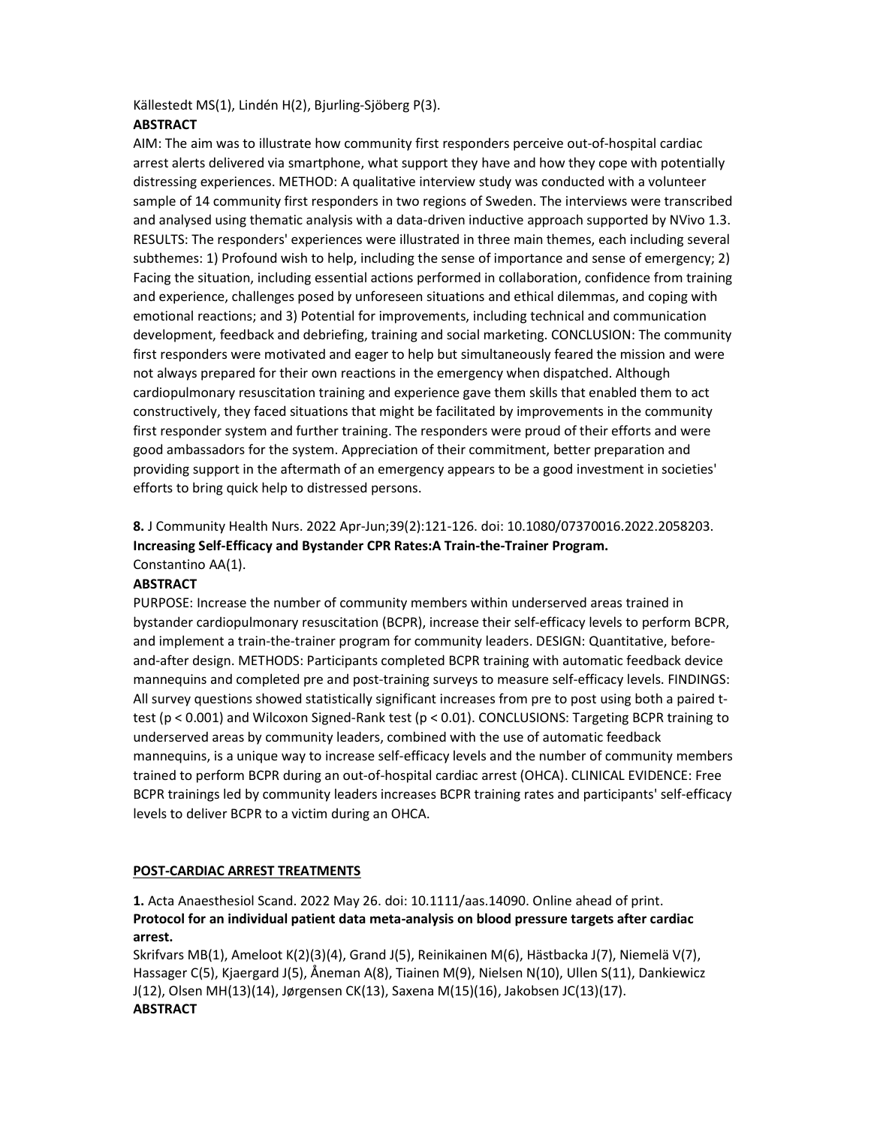Källestedt MS(1), Lindén H(2), Bjurling-Sjöberg P(3).

# **ABSTRACT**

AIM: The aim was to illustrate how community first responders perceive out-of-hospital cardiac arrest alerts delivered via smartphone, what support they have and how they cope with potentially distressing experiences. METHOD: A qualitative interview study was conducted with a volunteer sample of 14 community first responders in two regions of Sweden. The interviews were transcribed and analysed using thematic analysis with a data-driven inductive approach supported by NVivo 1.3. RESULTS: The responders' experiences were illustrated in three main themes, each including several subthemes: 1) Profound wish to help, including the sense of importance and sense of emergency; 2) Facing the situation, including essential actions performed in collaboration, confidence from training and experience, challenges posed by unforeseen situations and ethical dilemmas, and coping with emotional reactions; and 3) Potential for improvements, including technical and communication development, feedback and debriefing, training and social marketing. CONCLUSION: The community first responders were motivated and eager to help but simultaneously feared the mission and were not always prepared for their own reactions in the emergency when dispatched. Although cardiopulmonary resuscitation training and experience gave them skills that enabled them to act constructively, they faced situations that might be facilitated by improvements in the community first responder system and further training. The responders were proud of their efforts and were good ambassadors for the system. Appreciation of their commitment, better preparation and providing support in the aftermath of an emergency appears to be a good investment in societies' efforts to bring quick help to distressed persons.

8. J Community Health Nurs. 2022 Apr-Jun;39(2):121-126. doi: 10.1080/07370016.2022.2058203. Increasing Self-Efficacy and Bystander CPR Rates:A Train-the-Trainer Program. Constantino AA(1).

# **ABSTRACT**

PURPOSE: Increase the number of community members within underserved areas trained in bystander cardiopulmonary resuscitation (BCPR), increase their self-efficacy levels to perform BCPR, and implement a train-the-trainer program for community leaders. DESIGN: Quantitative, beforeand-after design. METHODS: Participants completed BCPR training with automatic feedback device mannequins and completed pre and post-training surveys to measure self-efficacy levels. FINDINGS: All survey questions showed statistically significant increases from pre to post using both a paired ttest (p < 0.001) and Wilcoxon Signed-Rank test (p < 0.01). CONCLUSIONS: Targeting BCPR training to underserved areas by community leaders, combined with the use of automatic feedback mannequins, is a unique way to increase self-efficacy levels and the number of community members trained to perform BCPR during an out-of-hospital cardiac arrest (OHCA). CLINICAL EVIDENCE: Free BCPR trainings led by community leaders increases BCPR training rates and participants' self-efficacy levels to deliver BCPR to a victim during an OHCA.

# POST-CARDIAC ARREST TREATMENTS

1. Acta Anaesthesiol Scand. 2022 May 26. doi: 10.1111/aas.14090. Online ahead of print. Protocol for an individual patient data meta-analysis on blood pressure targets after cardiac arrest.

Skrifvars MB(1), Ameloot K(2)(3)(4), Grand J(5), Reinikainen M(6), Hästbacka J(7), Niemelä V(7), Hassager C(5), Kjaergard J(5), Åneman A(8), Tiainen M(9), Nielsen N(10), Ullen S(11), Dankiewicz J(12), Olsen MH(13)(14), Jørgensen CK(13), Saxena M(15)(16), Jakobsen JC(13)(17). **ABSTRACT**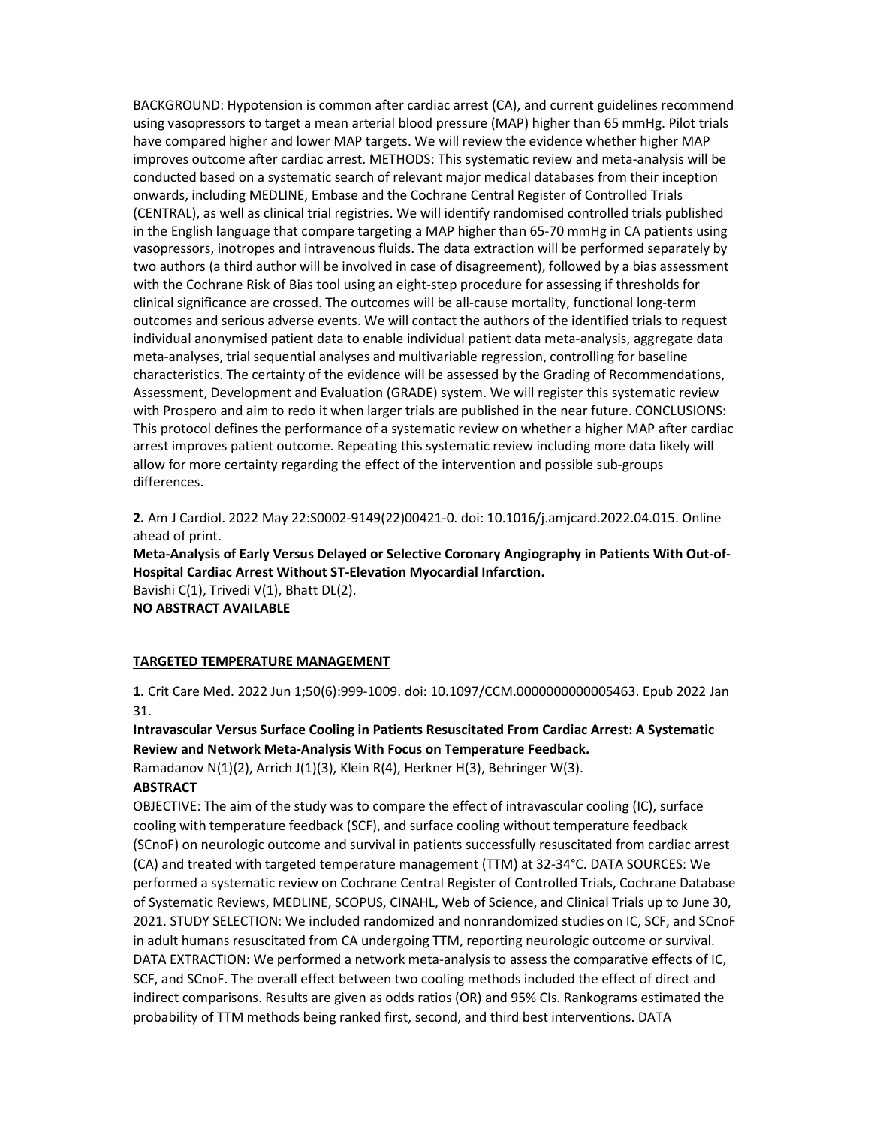BACKGROUND: Hypotension is common after cardiac arrest (CA), and current guidelines recommend using vasopressors to target a mean arterial blood pressure (MAP) higher than 65 mmHg. Pilot trials have compared higher and lower MAP targets. We will review the evidence whether higher MAP improves outcome after cardiac arrest. METHODS: This systematic review and meta-analysis will be conducted based on a systematic search of relevant major medical databases from their inception onwards, including MEDLINE, Embase and the Cochrane Central Register of Controlled Trials (CENTRAL), as well as clinical trial registries. We will identify randomised controlled trials published in the English language that compare targeting a MAP higher than 65-70 mmHg in CA patients using vasopressors, inotropes and intravenous fluids. The data extraction will be performed separately by two authors (a third author will be involved in case of disagreement), followed by a bias assessment with the Cochrane Risk of Bias tool using an eight-step procedure for assessing if thresholds for clinical significance are crossed. The outcomes will be all-cause mortality, functional long-term outcomes and serious adverse events. We will contact the authors of the identified trials to request individual anonymised patient data to enable individual patient data meta-analysis, aggregate data meta-analyses, trial sequential analyses and multivariable regression, controlling for baseline characteristics. The certainty of the evidence will be assessed by the Grading of Recommendations, Assessment, Development and Evaluation (GRADE) system. We will register this systematic review with Prospero and aim to redo it when larger trials are published in the near future. CONCLUSIONS: This protocol defines the performance of a systematic review on whether a higher MAP after cardiac arrest improves patient outcome. Repeating this systematic review including more data likely will allow for more certainty regarding the effect of the intervention and possible sub-groups differences.

2. Am J Cardiol. 2022 May 22:S0002-9149(22)00421-0. doi: 10.1016/j.amjcard.2022.04.015. Online ahead of print.

Meta-Analysis of Early Versus Delayed or Selective Coronary Angiography in Patients With Out-of-Hospital Cardiac Arrest Without ST-Elevation Myocardial Infarction. Bavishi C(1), Trivedi V(1), Bhatt DL(2).

NO ABSTRACT AVAILABLE

#### TARGETED TEMPERATURE MANAGEMENT

1. Crit Care Med. 2022 Jun 1;50(6):999-1009. doi: 10.1097/CCM.0000000000005463. Epub 2022 Jan 31.

Intravascular Versus Surface Cooling in Patients Resuscitated From Cardiac Arrest: A Systematic Review and Network Meta-Analysis With Focus on Temperature Feedback.

Ramadanov N(1)(2), Arrich J(1)(3), Klein R(4), Herkner H(3), Behringer W(3).

# **ABSTRACT**

OBJECTIVE: The aim of the study was to compare the effect of intravascular cooling (IC), surface cooling with temperature feedback (SCF), and surface cooling without temperature feedback (SCnoF) on neurologic outcome and survival in patients successfully resuscitated from cardiac arrest (CA) and treated with targeted temperature management (TTM) at 32-34°C. DATA SOURCES: We performed a systematic review on Cochrane Central Register of Controlled Trials, Cochrane Database of Systematic Reviews, MEDLINE, SCOPUS, CINAHL, Web of Science, and Clinical Trials up to June 30, 2021. STUDY SELECTION: We included randomized and nonrandomized studies on IC, SCF, and SCnoF in adult humans resuscitated from CA undergoing TTM, reporting neurologic outcome or survival. DATA EXTRACTION: We performed a network meta-analysis to assess the comparative effects of IC, SCF, and SCnoF. The overall effect between two cooling methods included the effect of direct and indirect comparisons. Results are given as odds ratios (OR) and 95% CIs. Rankograms estimated the probability of TTM methods being ranked first, second, and third best interventions. DATA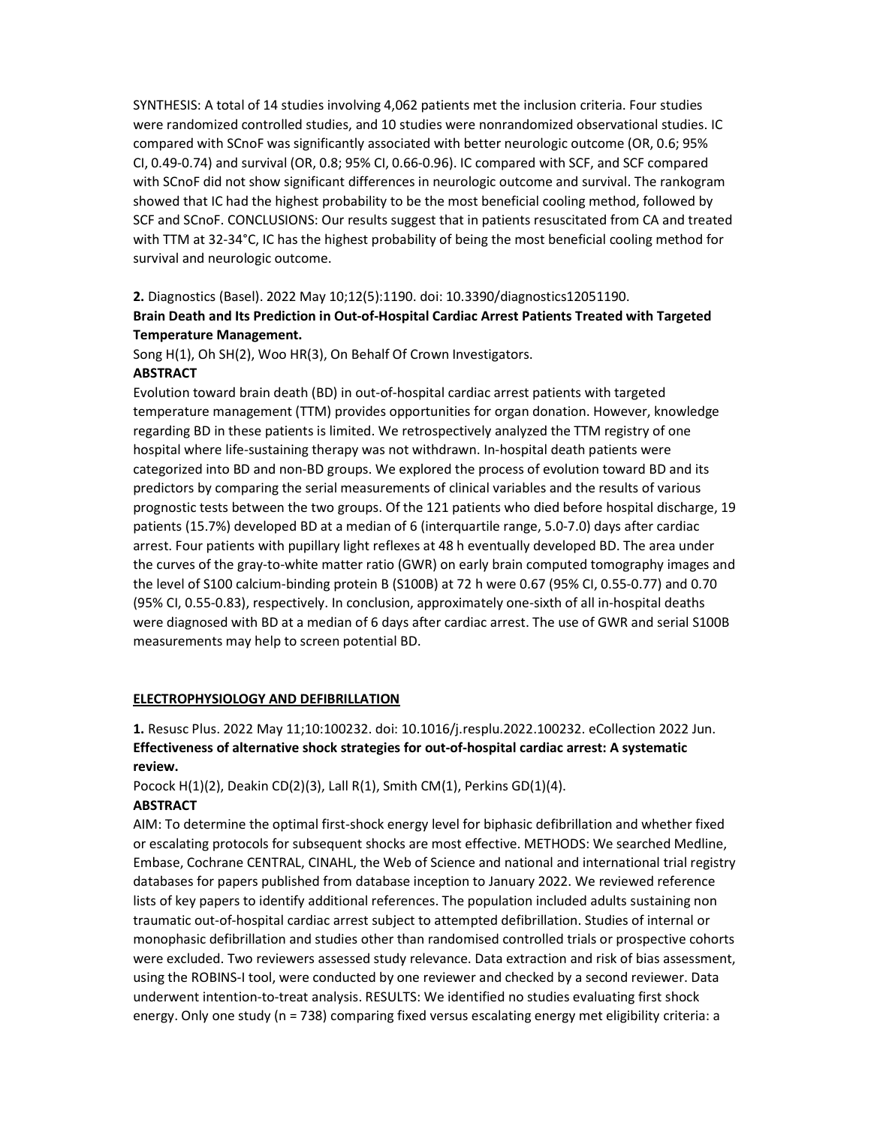SYNTHESIS: A total of 14 studies involving 4,062 patients met the inclusion criteria. Four studies were randomized controlled studies, and 10 studies were nonrandomized observational studies. IC compared with SCnoF was significantly associated with better neurologic outcome (OR, 0.6; 95% CI, 0.49-0.74) and survival (OR, 0.8; 95% CI, 0.66-0.96). IC compared with SCF, and SCF compared with SCnoF did not show significant differences in neurologic outcome and survival. The rankogram showed that IC had the highest probability to be the most beneficial cooling method, followed by SCF and SCnoF. CONCLUSIONS: Our results suggest that in patients resuscitated from CA and treated with TTM at 32-34°C, IC has the highest probability of being the most beneficial cooling method for survival and neurologic outcome.

## 2. Diagnostics (Basel). 2022 May 10;12(5):1190. doi: 10.3390/diagnostics12051190.

# Brain Death and Its Prediction in Out-of-Hospital Cardiac Arrest Patients Treated with Targeted Temperature Management.

Song H(1), Oh SH(2), Woo HR(3), On Behalf Of Crown Investigators.

## **ABSTRACT**

Evolution toward brain death (BD) in out-of-hospital cardiac arrest patients with targeted temperature management (TTM) provides opportunities for organ donation. However, knowledge regarding BD in these patients is limited. We retrospectively analyzed the TTM registry of one hospital where life-sustaining therapy was not withdrawn. In-hospital death patients were categorized into BD and non-BD groups. We explored the process of evolution toward BD and its predictors by comparing the serial measurements of clinical variables and the results of various prognostic tests between the two groups. Of the 121 patients who died before hospital discharge, 19 patients (15.7%) developed BD at a median of 6 (interquartile range, 5.0-7.0) days after cardiac arrest. Four patients with pupillary light reflexes at 48 h eventually developed BD. The area under the curves of the gray-to-white matter ratio (GWR) on early brain computed tomography images and the level of S100 calcium-binding protein B (S100B) at 72 h were 0.67 (95% CI, 0.55-0.77) and 0.70 (95% CI, 0.55-0.83), respectively. In conclusion, approximately one-sixth of all in-hospital deaths were diagnosed with BD at a median of 6 days after cardiac arrest. The use of GWR and serial S100B measurements may help to screen potential BD.

## ELECTROPHYSIOLOGY AND DEFIBRILLATION

1. Resusc Plus. 2022 May 11;10:100232. doi: 10.1016/j.resplu.2022.100232. eCollection 2022 Jun. Effectiveness of alternative shock strategies for out-of-hospital cardiac arrest: A systematic review.

Pocock H(1)(2), Deakin CD(2)(3), Lall R(1), Smith CM(1), Perkins GD(1)(4).

# ABSTRACT

AIM: To determine the optimal first-shock energy level for biphasic defibrillation and whether fixed or escalating protocols for subsequent shocks are most effective. METHODS: We searched Medline, Embase, Cochrane CENTRAL, CINAHL, the Web of Science and national and international trial registry databases for papers published from database inception to January 2022. We reviewed reference lists of key papers to identify additional references. The population included adults sustaining non traumatic out-of-hospital cardiac arrest subject to attempted defibrillation. Studies of internal or monophasic defibrillation and studies other than randomised controlled trials or prospective cohorts were excluded. Two reviewers assessed study relevance. Data extraction and risk of bias assessment, using the ROBINS-I tool, were conducted by one reviewer and checked by a second reviewer. Data underwent intention-to-treat analysis. RESULTS: We identified no studies evaluating first shock energy. Only one study (n = 738) comparing fixed versus escalating energy met eligibility criteria: a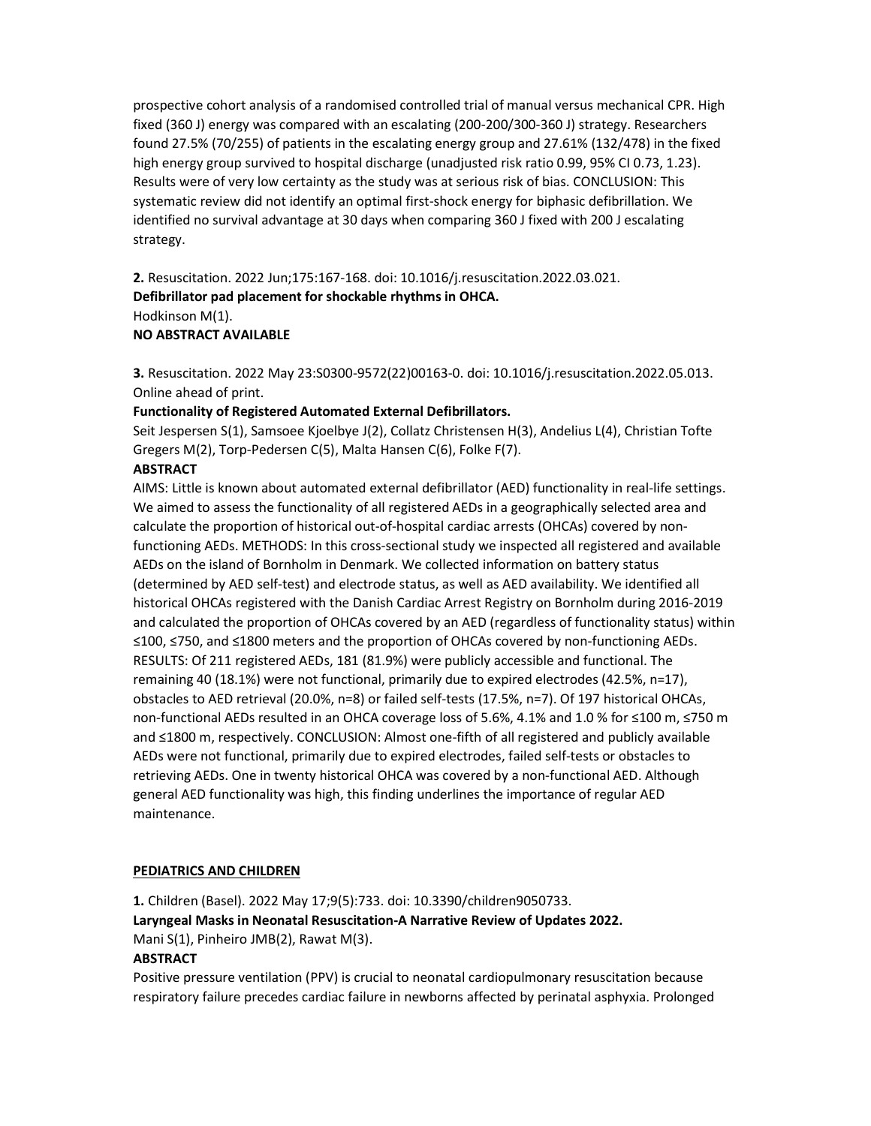prospective cohort analysis of a randomised controlled trial of manual versus mechanical CPR. High fixed (360 J) energy was compared with an escalating (200-200/300-360 J) strategy. Researchers found 27.5% (70/255) of patients in the escalating energy group and 27.61% (132/478) in the fixed high energy group survived to hospital discharge (unadjusted risk ratio 0.99, 95% CI 0.73, 1.23). Results were of very low certainty as the study was at serious risk of bias. CONCLUSION: This systematic review did not identify an optimal first-shock energy for biphasic defibrillation. We identified no survival advantage at 30 days when comparing 360 J fixed with 200 J escalating strategy.

2. Resuscitation. 2022 Jun;175:167-168. doi: 10.1016/j.resuscitation.2022.03.021. Defibrillator pad placement for shockable rhythms in OHCA. Hodkinson M(1). NO ABSTRACT AVAILABLE

3. Resuscitation. 2022 May 23:S0300-9572(22)00163-0. doi: 10.1016/j.resuscitation.2022.05.013. Online ahead of print.

## Functionality of Registered Automated External Defibrillators.

Seit Jespersen S(1), Samsoee Kjoelbye J(2), Collatz Christensen H(3), Andelius L(4), Christian Tofte Gregers M(2), Torp-Pedersen C(5), Malta Hansen C(6), Folke F(7).

# **ABSTRACT**

AIMS: Little is known about automated external defibrillator (AED) functionality in real-life settings. We aimed to assess the functionality of all registered AEDs in a geographically selected area and calculate the proportion of historical out-of-hospital cardiac arrests (OHCAs) covered by nonfunctioning AEDs. METHODS: In this cross-sectional study we inspected all registered and available AEDs on the island of Bornholm in Denmark. We collected information on battery status (determined by AED self-test) and electrode status, as well as AED availability. We identified all historical OHCAs registered with the Danish Cardiac Arrest Registry on Bornholm during 2016-2019 and calculated the proportion of OHCAs covered by an AED (regardless of functionality status) within ≤100, ≤750, and ≤1800 meters and the proportion of OHCAs covered by non-functioning AEDs. RESULTS: Of 211 registered AEDs, 181 (81.9%) were publicly accessible and functional. The remaining 40 (18.1%) were not functional, primarily due to expired electrodes (42.5%, n=17), obstacles to AED retrieval (20.0%, n=8) or failed self-tests (17.5%, n=7). Of 197 historical OHCAs, non-functional AEDs resulted in an OHCA coverage loss of 5.6%, 4.1% and 1.0 % for ≤100 m, ≤750 m and ≤1800 m, respectively. CONCLUSION: Almost one-fifth of all registered and publicly available AEDs were not functional, primarily due to expired electrodes, failed self-tests or obstacles to retrieving AEDs. One in twenty historical OHCA was covered by a non-functional AED. Although general AED functionality was high, this finding underlines the importance of regular AED maintenance.

# PEDIATRICS AND CHILDREN

1. Children (Basel). 2022 May 17;9(5):733. doi: 10.3390/children9050733. Laryngeal Masks in Neonatal Resuscitation-A Narrative Review of Updates 2022. Mani S(1), Pinheiro JMB(2), Rawat M(3).

# **ABSTRACT**

Positive pressure ventilation (PPV) is crucial to neonatal cardiopulmonary resuscitation because respiratory failure precedes cardiac failure in newborns affected by perinatal asphyxia. Prolonged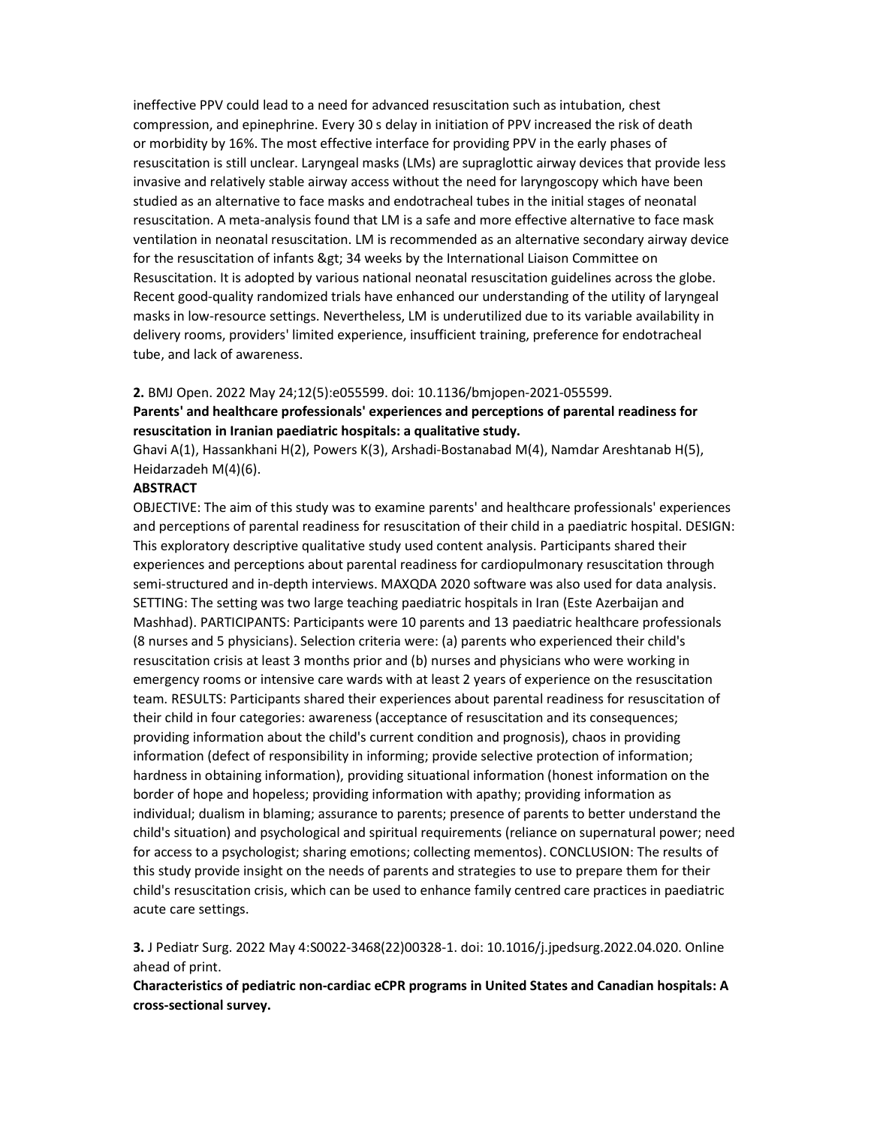ineffective PPV could lead to a need for advanced resuscitation such as intubation, chest compression, and epinephrine. Every 30 s delay in initiation of PPV increased the risk of death or morbidity by 16%. The most effective interface for providing PPV in the early phases of resuscitation is still unclear. Laryngeal masks (LMs) are supraglottic airway devices that provide less invasive and relatively stable airway access without the need for laryngoscopy which have been studied as an alternative to face masks and endotracheal tubes in the initial stages of neonatal resuscitation. A meta-analysis found that LM is a safe and more effective alternative to face mask ventilation in neonatal resuscitation. LM is recommended as an alternative secondary airway device for the resuscitation of infants > 34 weeks by the International Liaison Committee on Resuscitation. It is adopted by various national neonatal resuscitation guidelines across the globe. Recent good-quality randomized trials have enhanced our understanding of the utility of laryngeal masks in low-resource settings. Nevertheless, LM is underutilized due to its variable availability in delivery rooms, providers' limited experience, insufficient training, preference for endotracheal tube, and lack of awareness.

#### 2. BMJ Open. 2022 May 24;12(5):e055599. doi: 10.1136/bmjopen-2021-055599.

Parents' and healthcare professionals' experiences and perceptions of parental readiness for resuscitation in Iranian paediatric hospitals: a qualitative study.

Ghavi A(1), Hassankhani H(2), Powers K(3), Arshadi-Bostanabad M(4), Namdar Areshtanab H(5), Heidarzadeh M(4)(6).

#### **ABSTRACT**

OBJECTIVE: The aim of this study was to examine parents' and healthcare professionals' experiences and perceptions of parental readiness for resuscitation of their child in a paediatric hospital. DESIGN: This exploratory descriptive qualitative study used content analysis. Participants shared their experiences and perceptions about parental readiness for cardiopulmonary resuscitation through semi-structured and in-depth interviews. MAXQDA 2020 software was also used for data analysis. SETTING: The setting was two large teaching paediatric hospitals in Iran (Este Azerbaijan and Mashhad). PARTICIPANTS: Participants were 10 parents and 13 paediatric healthcare professionals (8 nurses and 5 physicians). Selection criteria were: (a) parents who experienced their child's resuscitation crisis at least 3 months prior and (b) nurses and physicians who were working in emergency rooms or intensive care wards with at least 2 years of experience on the resuscitation team. RESULTS: Participants shared their experiences about parental readiness for resuscitation of their child in four categories: awareness (acceptance of resuscitation and its consequences; providing information about the child's current condition and prognosis), chaos in providing information (defect of responsibility in informing; provide selective protection of information; hardness in obtaining information), providing situational information (honest information on the border of hope and hopeless; providing information with apathy; providing information as individual; dualism in blaming; assurance to parents; presence of parents to better understand the child's situation) and psychological and spiritual requirements (reliance on supernatural power; need for access to a psychologist; sharing emotions; collecting mementos). CONCLUSION: The results of this study provide insight on the needs of parents and strategies to use to prepare them for their child's resuscitation crisis, which can be used to enhance family centred care practices in paediatric acute care settings.

3. J Pediatr Surg. 2022 May 4:S0022-3468(22)00328-1. doi: 10.1016/j.jpedsurg.2022.04.020. Online ahead of print.

Characteristics of pediatric non-cardiac eCPR programs in United States and Canadian hospitals: A cross-sectional survey.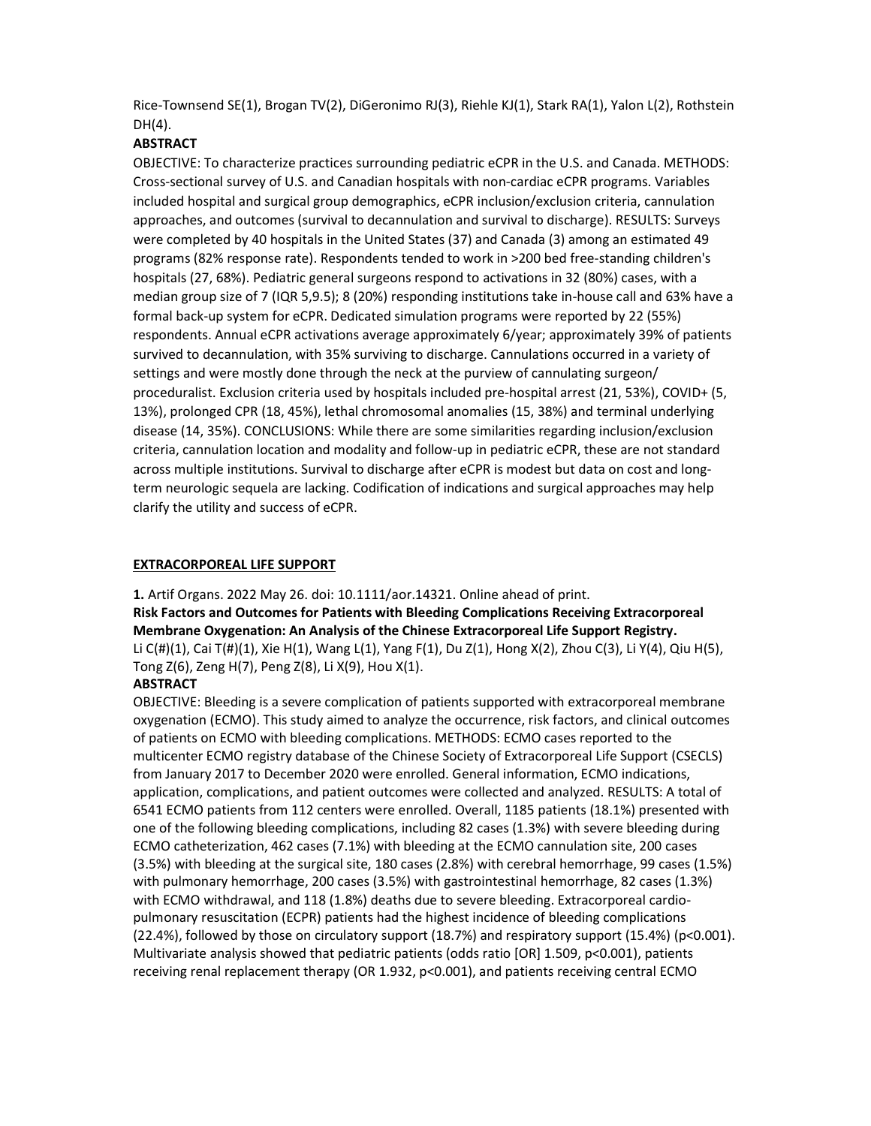Rice-Townsend SE(1), Brogan TV(2), DiGeronimo RJ(3), Riehle KJ(1), Stark RA(1), Yalon L(2), Rothstein DH(4).

# **ABSTRACT**

OBJECTIVE: To characterize practices surrounding pediatric eCPR in the U.S. and Canada. METHODS: Cross-sectional survey of U.S. and Canadian hospitals with non-cardiac eCPR programs. Variables included hospital and surgical group demographics, eCPR inclusion/exclusion criteria, cannulation approaches, and outcomes (survival to decannulation and survival to discharge). RESULTS: Surveys were completed by 40 hospitals in the United States (37) and Canada (3) among an estimated 49 programs (82% response rate). Respondents tended to work in >200 bed free-standing children's hospitals (27, 68%). Pediatric general surgeons respond to activations in 32 (80%) cases, with a median group size of 7 (IQR 5,9.5); 8 (20%) responding institutions take in-house call and 63% have a formal back-up system for eCPR. Dedicated simulation programs were reported by 22 (55%) respondents. Annual eCPR activations average approximately 6/year; approximately 39% of patients survived to decannulation, with 35% surviving to discharge. Cannulations occurred in a variety of settings and were mostly done through the neck at the purview of cannulating surgeon/ proceduralist. Exclusion criteria used by hospitals included pre-hospital arrest (21, 53%), COVID+ (5, 13%), prolonged CPR (18, 45%), lethal chromosomal anomalies (15, 38%) and terminal underlying disease (14, 35%). CONCLUSIONS: While there are some similarities regarding inclusion/exclusion criteria, cannulation location and modality and follow-up in pediatric eCPR, these are not standard across multiple institutions. Survival to discharge after eCPR is modest but data on cost and longterm neurologic sequela are lacking. Codification of indications and surgical approaches may help clarify the utility and success of eCPR.

## EXTRACORPOREAL LIFE SUPPORT

1. Artif Organs. 2022 May 26. doi: 10.1111/aor.14321. Online ahead of print. Risk Factors and Outcomes for Patients with Bleeding Complications Receiving Extracorporeal Membrane Oxygenation: An Analysis of the Chinese Extracorporeal Life Support Registry. Li C(#)(1), Cai T(#)(1), Xie H(1), Wang L(1), Yang F(1), Du Z(1), Hong X(2), Zhou C(3), Li Y(4), Qiu H(5), Tong Z(6), Zeng H(7), Peng Z(8), Li X(9), Hou X(1).

# **ABSTRACT**

OBJECTIVE: Bleeding is a severe complication of patients supported with extracorporeal membrane oxygenation (ECMO). This study aimed to analyze the occurrence, risk factors, and clinical outcomes of patients on ECMO with bleeding complications. METHODS: ECMO cases reported to the multicenter ECMO registry database of the Chinese Society of Extracorporeal Life Support (CSECLS) from January 2017 to December 2020 were enrolled. General information, ECMO indications, application, complications, and patient outcomes were collected and analyzed. RESULTS: A total of 6541 ECMO patients from 112 centers were enrolled. Overall, 1185 patients (18.1%) presented with one of the following bleeding complications, including 82 cases (1.3%) with severe bleeding during ECMO catheterization, 462 cases (7.1%) with bleeding at the ECMO cannulation site, 200 cases (3.5%) with bleeding at the surgical site, 180 cases (2.8%) with cerebral hemorrhage, 99 cases (1.5%) with pulmonary hemorrhage, 200 cases (3.5%) with gastrointestinal hemorrhage, 82 cases (1.3%) with ECMO withdrawal, and 118 (1.8%) deaths due to severe bleeding. Extracorporeal cardiopulmonary resuscitation (ECPR) patients had the highest incidence of bleeding complications (22.4%), followed by those on circulatory support (18.7%) and respiratory support (15.4%) (p<0.001). Multivariate analysis showed that pediatric patients (odds ratio [OR] 1.509, p<0.001), patients receiving renal replacement therapy (OR 1.932, p<0.001), and patients receiving central ECMO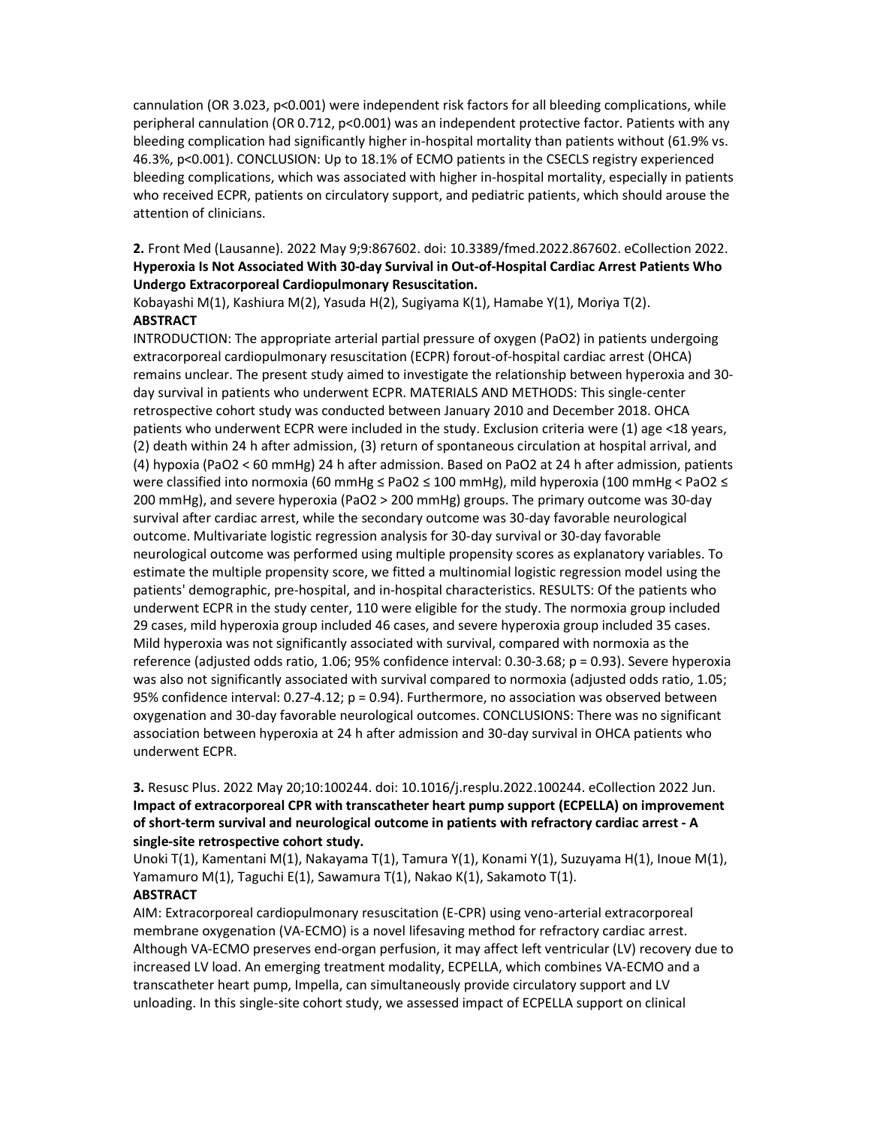cannulation (OR 3.023, p<0.001) were independent risk factors for all bleeding complications, while peripheral cannulation (OR 0.712, p<0.001) was an independent protective factor. Patients with any bleeding complication had significantly higher in-hospital mortality than patients without (61.9% vs. 46.3%, p<0.001). CONCLUSION: Up to 18.1% of ECMO patients in the CSECLS registry experienced bleeding complications, which was associated with higher in-hospital mortality, especially in patients who received ECPR, patients on circulatory support, and pediatric patients, which should arouse the attention of clinicians.

2. Front Med (Lausanne). 2022 May 9;9:867602. doi: 10.3389/fmed.2022.867602. eCollection 2022. Hyperoxia Is Not Associated With 30-day Survival in Out-of-Hospital Cardiac Arrest Patients Who Undergo Extracorporeal Cardiopulmonary Resuscitation.

Kobayashi M(1), Kashiura M(2), Yasuda H(2), Sugiyama K(1), Hamabe Y(1), Moriya T(2). **ABSTRACT** 

INTRODUCTION: The appropriate arterial partial pressure of oxygen (PaO2) in patients undergoing extracorporeal cardiopulmonary resuscitation (ECPR) forout-of-hospital cardiac arrest (OHCA) remains unclear. The present study aimed to investigate the relationship between hyperoxia and 30 day survival in patients who underwent ECPR. MATERIALS AND METHODS: This single-center retrospective cohort study was conducted between January 2010 and December 2018. OHCA patients who underwent ECPR were included in the study. Exclusion criteria were (1) age <18 years, (2) death within 24 h after admission, (3) return of spontaneous circulation at hospital arrival, and (4) hypoxia (PaO2 < 60 mmHg) 24 h after admission. Based on PaO2 at 24 h after admission, patients were classified into normoxia (60 mmHg ≤ PaO2 ≤ 100 mmHg), mild hyperoxia (100 mmHg < PaO2 ≤ 200 mmHg), and severe hyperoxia (PaO2 > 200 mmHg) groups. The primary outcome was 30-day survival after cardiac arrest, while the secondary outcome was 30-day favorable neurological outcome. Multivariate logistic regression analysis for 30-day survival or 30-day favorable neurological outcome was performed using multiple propensity scores as explanatory variables. To estimate the multiple propensity score, we fitted a multinomial logistic regression model using the patients' demographic, pre-hospital, and in-hospital characteristics. RESULTS: Of the patients who underwent ECPR in the study center, 110 were eligible for the study. The normoxia group included 29 cases, mild hyperoxia group included 46 cases, and severe hyperoxia group included 35 cases. Mild hyperoxia was not significantly associated with survival, compared with normoxia as the reference (adjusted odds ratio, 1.06; 95% confidence interval: 0.30-3.68; p = 0.93). Severe hyperoxia was also not significantly associated with survival compared to normoxia (adjusted odds ratio, 1.05; 95% confidence interval: 0.27-4.12; p = 0.94). Furthermore, no association was observed between oxygenation and 30-day favorable neurological outcomes. CONCLUSIONS: There was no significant association between hyperoxia at 24 h after admission and 30-day survival in OHCA patients who underwent ECPR.

# 3. Resusc Plus. 2022 May 20;10:100244. doi: 10.1016/j.resplu.2022.100244. eCollection 2022 Jun. Impact of extracorporeal CPR with transcatheter heart pump support (ECPELLA) on improvement of short-term survival and neurological outcome in patients with refractory cardiac arrest - A single-site retrospective cohort study.

Unoki T(1), Kamentani M(1), Nakayama T(1), Tamura Y(1), Konami Y(1), Suzuyama H(1), Inoue M(1), Yamamuro M(1), Taguchi E(1), Sawamura T(1), Nakao K(1), Sakamoto T(1).

# ABSTRACT

AIM: Extracorporeal cardiopulmonary resuscitation (E-CPR) using veno-arterial extracorporeal membrane oxygenation (VA-ECMO) is a novel lifesaving method for refractory cardiac arrest. Although VA-ECMO preserves end-organ perfusion, it may affect left ventricular (LV) recovery due to increased LV load. An emerging treatment modality, ECPELLA, which combines VA-ECMO and a transcatheter heart pump, Impella, can simultaneously provide circulatory support and LV unloading. In this single-site cohort study, we assessed impact of ECPELLA support on clinical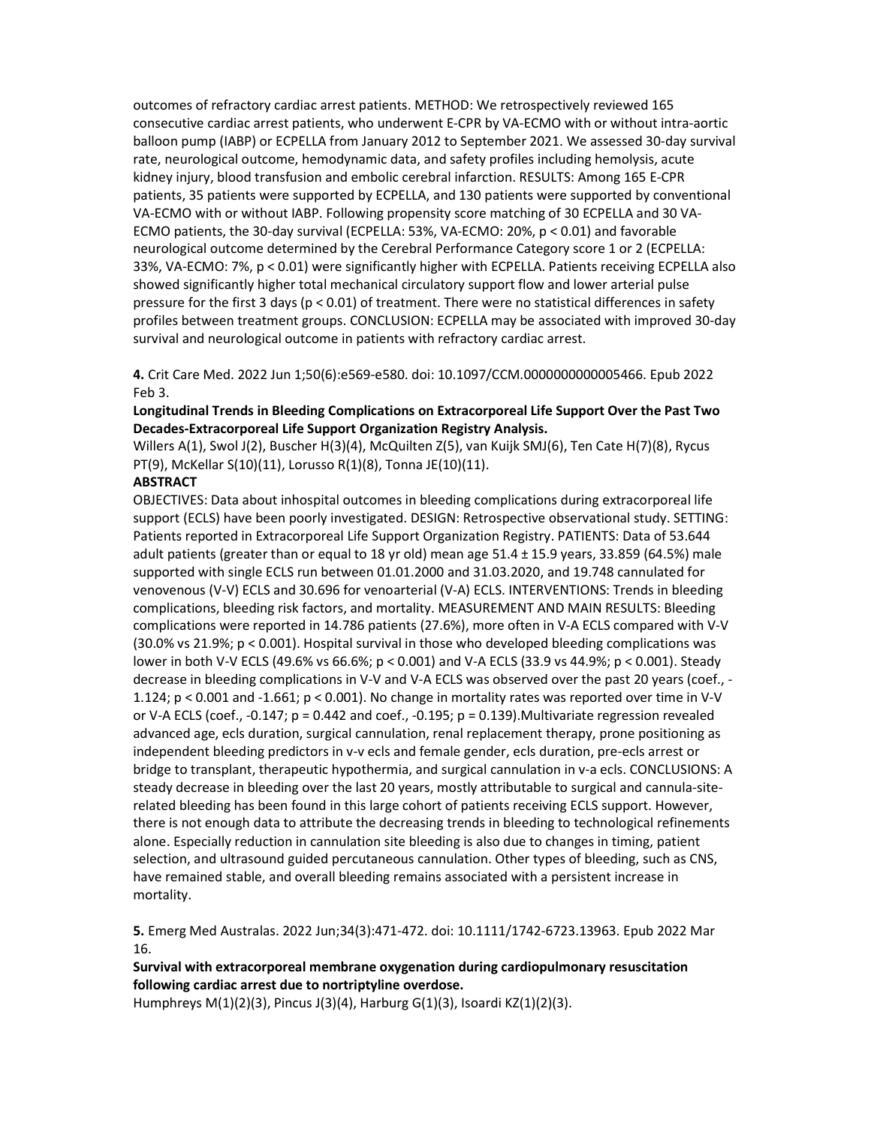outcomes of refractory cardiac arrest patients. METHOD: We retrospectively reviewed 165 consecutive cardiac arrest patients, who underwent E-CPR by VA-ECMO with or without intra-aortic balloon pump (IABP) or ECPELLA from January 2012 to September 2021. We assessed 30-day survival rate, neurological outcome, hemodynamic data, and safety profiles including hemolysis, acute kidney injury, blood transfusion and embolic cerebral infarction. RESULTS: Among 165 E-CPR patients, 35 patients were supported by ECPELLA, and 130 patients were supported by conventional VA-ECMO with or without IABP. Following propensity score matching of 30 ECPELLA and 30 VA-ECMO patients, the 30-day survival (ECPELLA: 53%, VA-ECMO: 20%, p < 0.01) and favorable neurological outcome determined by the Cerebral Performance Category score 1 or 2 (ECPELLA: 33%, VA-ECMO: 7%, p < 0.01) were significantly higher with ECPELLA. Patients receiving ECPELLA also showed significantly higher total mechanical circulatory support flow and lower arterial pulse pressure for the first 3 days (p < 0.01) of treatment. There were no statistical differences in safety profiles between treatment groups. CONCLUSION: ECPELLA may be associated with improved 30-day survival and neurological outcome in patients with refractory cardiac arrest.

4. Crit Care Med. 2022 Jun 1;50(6):e569-e580. doi: 10.1097/CCM.0000000000005466. Epub 2022 Feb 3.

## Longitudinal Trends in Bleeding Complications on Extracorporeal Life Support Over the Past Two Decades-Extracorporeal Life Support Organization Registry Analysis.

Willers A(1), Swol J(2), Buscher H(3)(4), McQuilten Z(5), van Kuijk SMJ(6), Ten Cate H(7)(8), Rycus PT(9), McKellar S(10)(11), Lorusso R(1)(8), Tonna JE(10)(11).

## **ABSTRACT**

OBJECTIVES: Data about inhospital outcomes in bleeding complications during extracorporeal life support (ECLS) have been poorly investigated. DESIGN: Retrospective observational study. SETTING: Patients reported in Extracorporeal Life Support Organization Registry. PATIENTS: Data of 53.644 adult patients (greater than or equal to 18 yr old) mean age 51.4 ± 15.9 years, 33.859 (64.5%) male supported with single ECLS run between 01.01.2000 and 31.03.2020, and 19.748 cannulated for venovenous (V-V) ECLS and 30.696 for venoarterial (V-A) ECLS. INTERVENTIONS: Trends in bleeding complications, bleeding risk factors, and mortality. MEASUREMENT AND MAIN RESULTS: Bleeding complications were reported in 14.786 patients (27.6%), more often in V-A ECLS compared with V-V (30.0% vs 21.9%; p < 0.001). Hospital survival in those who developed bleeding complications was lower in both V-V ECLS (49.6% vs 66.6%; p < 0.001) and V-A ECLS (33.9 vs 44.9%; p < 0.001). Steady decrease in bleeding complications in V-V and V-A ECLS was observed over the past 20 years (coef., - 1.124; p < 0.001 and -1.661; p < 0.001). No change in mortality rates was reported over time in V-V or V-A ECLS (coef., -0.147;  $p = 0.442$  and coef., -0.195;  $p = 0.139$ ). Multivariate regression revealed advanced age, ecls duration, surgical cannulation, renal replacement therapy, prone positioning as independent bleeding predictors in v-v ecls and female gender, ecls duration, pre-ecls arrest or bridge to transplant, therapeutic hypothermia, and surgical cannulation in v-a ecls. CONCLUSIONS: A steady decrease in bleeding over the last 20 years, mostly attributable to surgical and cannula-siterelated bleeding has been found in this large cohort of patients receiving ECLS support. However, there is not enough data to attribute the decreasing trends in bleeding to technological refinements alone. Especially reduction in cannulation site bleeding is also due to changes in timing, patient selection, and ultrasound guided percutaneous cannulation. Other types of bleeding, such as CNS, have remained stable, and overall bleeding remains associated with a persistent increase in mortality.

5. Emerg Med Australas. 2022 Jun;34(3):471-472. doi: 10.1111/1742-6723.13963. Epub 2022 Mar 16.

# Survival with extracorporeal membrane oxygenation during cardiopulmonary resuscitation following cardiac arrest due to nortriptyline overdose.

Humphreys M(1)(2)(3), Pincus J(3)(4), Harburg G(1)(3), Isoardi KZ(1)(2)(3).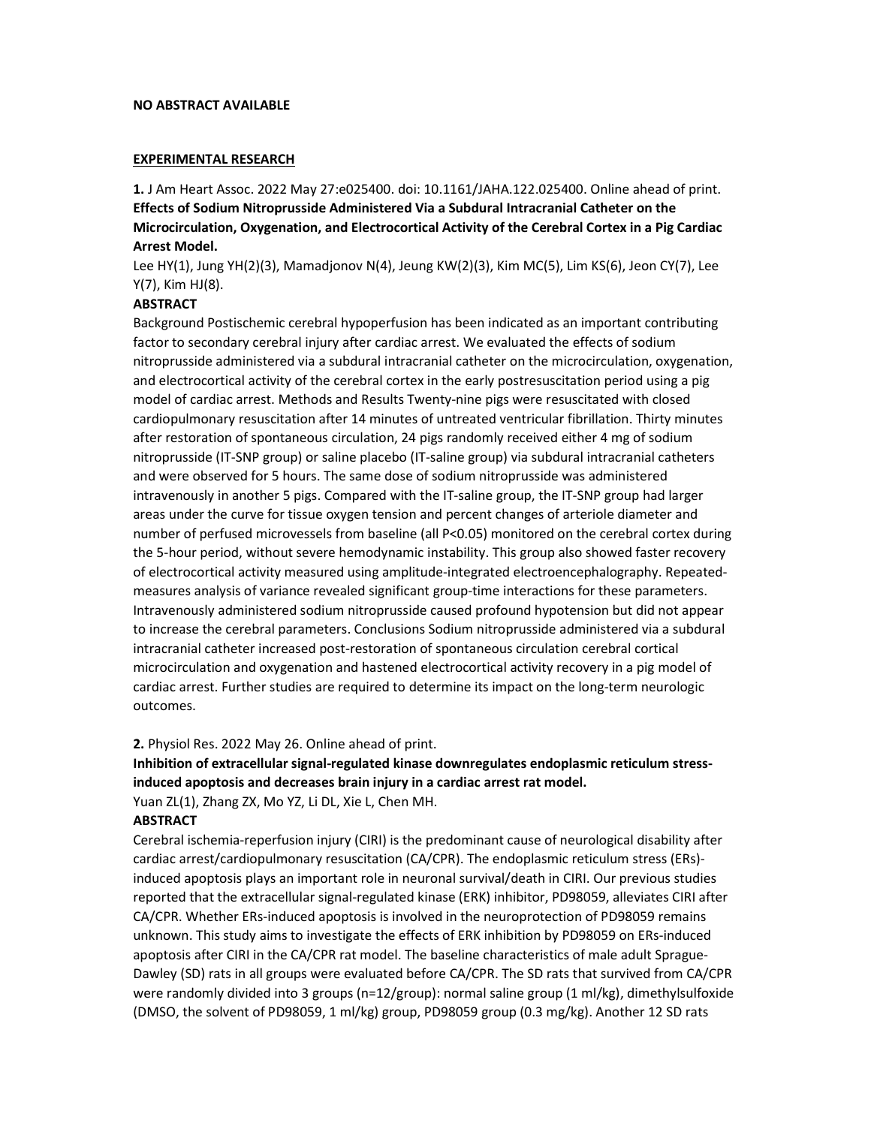#### NO ABSTRACT AVAILABLE

#### EXPERIMENTAL RESEARCH

1. J Am Heart Assoc. 2022 May 27:e025400. doi: 10.1161/JAHA.122.025400. Online ahead of print. Effects of Sodium Nitroprusside Administered Via a Subdural Intracranial Catheter on the Microcirculation, Oxygenation, and Electrocortical Activity of the Cerebral Cortex in a Pig Cardiac Arrest Model.

Lee HY(1), Jung YH(2)(3), Mamadjonov N(4), Jeung KW(2)(3), Kim MC(5), Lim KS(6), Jeon CY(7), Lee Y(7), Kim HJ(8).

## **ABSTRACT**

Background Postischemic cerebral hypoperfusion has been indicated as an important contributing factor to secondary cerebral injury after cardiac arrest. We evaluated the effects of sodium nitroprusside administered via a subdural intracranial catheter on the microcirculation, oxygenation, and electrocortical activity of the cerebral cortex in the early postresuscitation period using a pig model of cardiac arrest. Methods and Results Twenty-nine pigs were resuscitated with closed cardiopulmonary resuscitation after 14 minutes of untreated ventricular fibrillation. Thirty minutes after restoration of spontaneous circulation, 24 pigs randomly received either 4 mg of sodium nitroprusside (IT-SNP group) or saline placebo (IT-saline group) via subdural intracranial catheters and were observed for 5 hours. The same dose of sodium nitroprusside was administered intravenously in another 5 pigs. Compared with the IT-saline group, the IT-SNP group had larger areas under the curve for tissue oxygen tension and percent changes of arteriole diameter and number of perfused microvessels from baseline (all P<0.05) monitored on the cerebral cortex during the 5-hour period, without severe hemodynamic instability. This group also showed faster recovery of electrocortical activity measured using amplitude-integrated electroencephalography. Repeatedmeasures analysis of variance revealed significant group-time interactions for these parameters. Intravenously administered sodium nitroprusside caused profound hypotension but did not appear to increase the cerebral parameters. Conclusions Sodium nitroprusside administered via a subdural intracranial catheter increased post-restoration of spontaneous circulation cerebral cortical microcirculation and oxygenation and hastened electrocortical activity recovery in a pig model of cardiac arrest. Further studies are required to determine its impact on the long-term neurologic outcomes.

2. Physiol Res. 2022 May 26. Online ahead of print.

Inhibition of extracellular signal-regulated kinase downregulates endoplasmic reticulum stressinduced apoptosis and decreases brain injury in a cardiac arrest rat model.

Yuan ZL(1), Zhang ZX, Mo YZ, Li DL, Xie L, Chen MH.

#### **ABSTRACT**

Cerebral ischemia-reperfusion injury (CIRI) is the predominant cause of neurological disability after cardiac arrest/cardiopulmonary resuscitation (CA/CPR). The endoplasmic reticulum stress (ERs) induced apoptosis plays an important role in neuronal survival/death in CIRI. Our previous studies reported that the extracellular signal-regulated kinase (ERK) inhibitor, PD98059, alleviates CIRI after CA/CPR. Whether ERs-induced apoptosis is involved in the neuroprotection of PD98059 remains unknown. This study aims to investigate the effects of ERK inhibition by PD98059 on ERs-induced apoptosis after CIRI in the CA/CPR rat model. The baseline characteristics of male adult Sprague-Dawley (SD) rats in all groups were evaluated before CA/CPR. The SD rats that survived from CA/CPR were randomly divided into 3 groups (n=12/group): normal saline group (1 ml/kg), dimethylsulfoxide (DMSO, the solvent of PD98059, 1 ml/kg) group, PD98059 group (0.3 mg/kg). Another 12 SD rats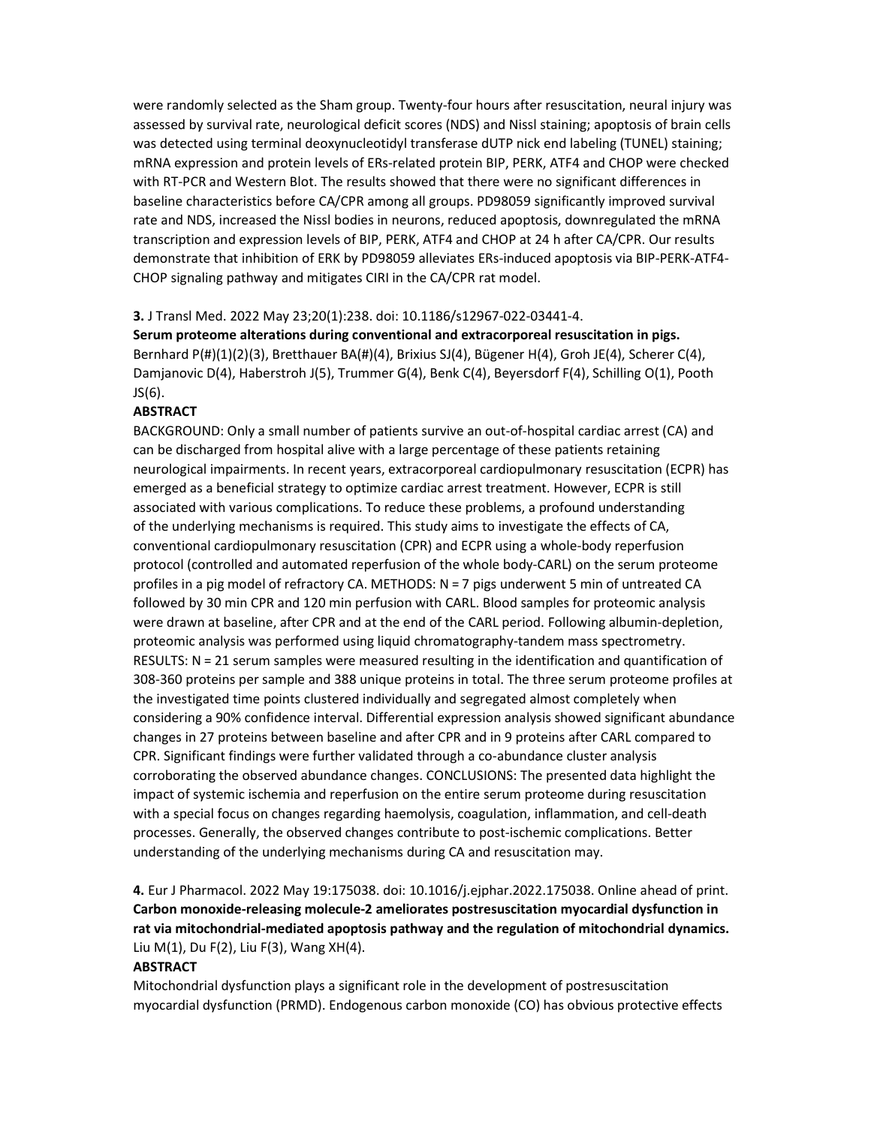were randomly selected as the Sham group. Twenty-four hours after resuscitation, neural injury was assessed by survival rate, neurological deficit scores (NDS) and Nissl staining; apoptosis of brain cells was detected using terminal deoxynucleotidyl transferase dUTP nick end labeling (TUNEL) staining; mRNA expression and protein levels of ERs-related protein BIP, PERK, ATF4 and CHOP were checked with RT-PCR and Western Blot. The results showed that there were no significant differences in baseline characteristics before CA/CPR among all groups. PD98059 significantly improved survival rate and NDS, increased the Nissl bodies in neurons, reduced apoptosis, downregulated the mRNA transcription and expression levels of BIP, PERK, ATF4 and CHOP at 24 h after CA/CPR. Our results demonstrate that inhibition of ERK by PD98059 alleviates ERs-induced apoptosis via BIP-PERK-ATF4- CHOP signaling pathway and mitigates CIRI in the CA/CPR rat model.

#### 3. J Transl Med. 2022 May 23;20(1):238. doi: 10.1186/s12967-022-03441-4.

Serum proteome alterations during conventional and extracorporeal resuscitation in pigs. Bernhard P(#)(1)(2)(3), Bretthauer BA(#)(4), Brixius SJ(4), Bügener H(4), Groh JE(4), Scherer C(4), Damjanovic D(4), Haberstroh J(5), Trummer G(4), Benk C(4), Beyersdorf F(4), Schilling O(1), Pooth JS(6).

## ABSTRACT

BACKGROUND: Only a small number of patients survive an out-of-hospital cardiac arrest (CA) and can be discharged from hospital alive with a large percentage of these patients retaining neurological impairments. In recent years, extracorporeal cardiopulmonary resuscitation (ECPR) has emerged as a beneficial strategy to optimize cardiac arrest treatment. However, ECPR is still associated with various complications. To reduce these problems, a profound understanding of the underlying mechanisms is required. This study aims to investigate the effects of CA, conventional cardiopulmonary resuscitation (CPR) and ECPR using a whole-body reperfusion protocol (controlled and automated reperfusion of the whole body-CARL) on the serum proteome profiles in a pig model of refractory CA. METHODS: N = 7 pigs underwent 5 min of untreated CA followed by 30 min CPR and 120 min perfusion with CARL. Blood samples for proteomic analysis were drawn at baseline, after CPR and at the end of the CARL period. Following albumin-depletion, proteomic analysis was performed using liquid chromatography-tandem mass spectrometry. RESULTS: N = 21 serum samples were measured resulting in the identification and quantification of 308-360 proteins per sample and 388 unique proteins in total. The three serum proteome profiles at the investigated time points clustered individually and segregated almost completely when considering a 90% confidence interval. Differential expression analysis showed significant abundance changes in 27 proteins between baseline and after CPR and in 9 proteins after CARL compared to CPR. Significant findings were further validated through a co-abundance cluster analysis corroborating the observed abundance changes. CONCLUSIONS: The presented data highlight the impact of systemic ischemia and reperfusion on the entire serum proteome during resuscitation with a special focus on changes regarding haemolysis, coagulation, inflammation, and cell-death processes. Generally, the observed changes contribute to post-ischemic complications. Better understanding of the underlying mechanisms during CA and resuscitation may.

4. Eur J Pharmacol. 2022 May 19:175038. doi: 10.1016/j.ejphar.2022.175038. Online ahead of print. Carbon monoxide-releasing molecule-2 ameliorates postresuscitation myocardial dysfunction in rat via mitochondrial-mediated apoptosis pathway and the regulation of mitochondrial dynamics. Liu M(1), Du F(2), Liu F(3), Wang XH(4).

## ABSTRACT

Mitochondrial dysfunction plays a significant role in the development of postresuscitation myocardial dysfunction (PRMD). Endogenous carbon monoxide (CO) has obvious protective effects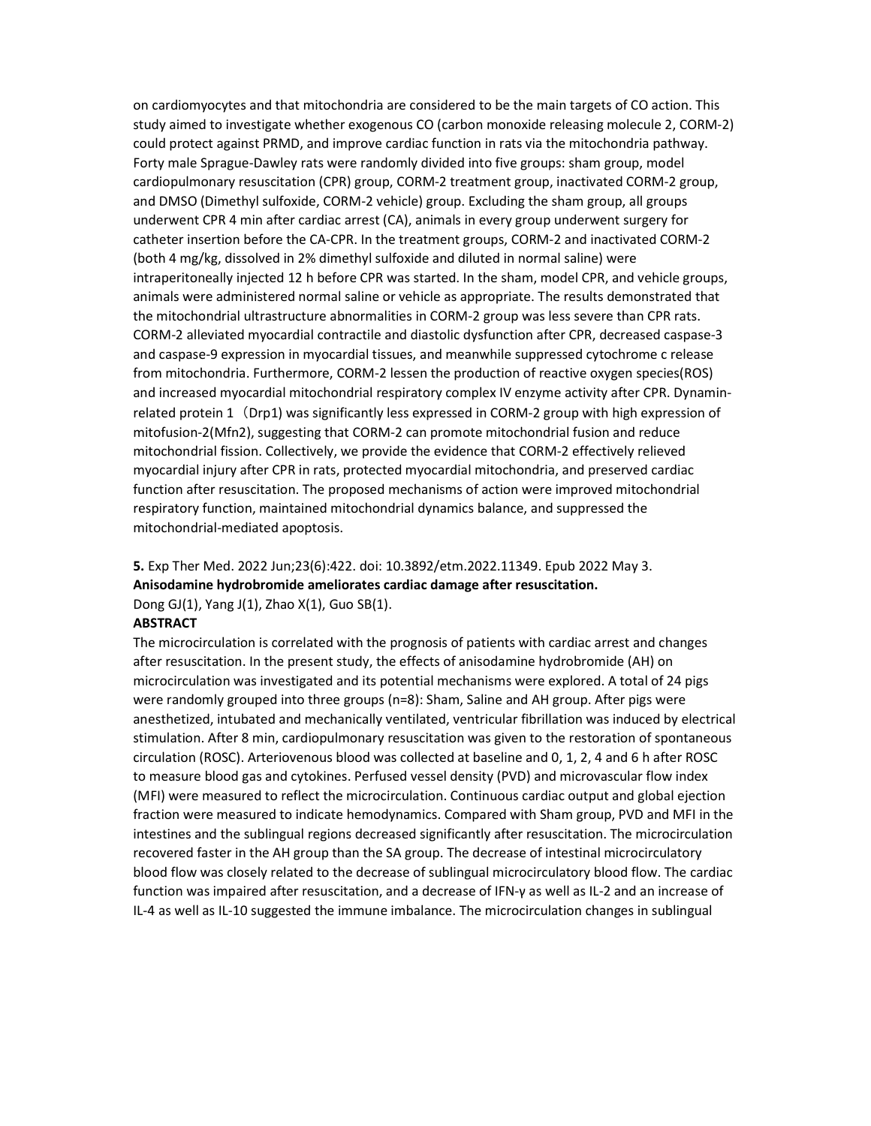on cardiomyocytes and that mitochondria are considered to be the main targets of CO action. This study aimed to investigate whether exogenous CO (carbon monoxide releasing molecule 2, CORM-2) could protect against PRMD, and improve cardiac function in rats via the mitochondria pathway. Forty male Sprague-Dawley rats were randomly divided into five groups: sham group, model cardiopulmonary resuscitation (CPR) group, CORM-2 treatment group, inactivated CORM-2 group, and DMSO (Dimethyl sulfoxide, CORM-2 vehicle) group. Excluding the sham group, all groups underwent CPR 4 min after cardiac arrest (CA), animals in every group underwent surgery for catheter insertion before the CA-CPR. In the treatment groups, CORM-2 and inactivated CORM-2 (both 4 mg/kg, dissolved in 2% dimethyl sulfoxide and diluted in normal saline) were intraperitoneally injected 12 h before CPR was started. In the sham, model CPR, and vehicle groups, animals were administered normal saline or vehicle as appropriate. The results demonstrated that the mitochondrial ultrastructure abnormalities in CORM-2 group was less severe than CPR rats. CORM-2 alleviated myocardial contractile and diastolic dysfunction after CPR, decreased caspase-3 and caspase-9 expression in myocardial tissues, and meanwhile suppressed cytochrome c release from mitochondria. Furthermore, CORM-2 lessen the production of reactive oxygen species(ROS) and increased myocardial mitochondrial respiratory complex IV enzyme activity after CPR. Dynaminrelated protein 1 (Drp1) was significantly less expressed in CORM-2 group with high expression of mitofusion-2(Mfn2), suggesting that CORM-2 can promote mitochondrial fusion and reduce mitochondrial fission. Collectively, we provide the evidence that CORM-2 effectively relieved myocardial injury after CPR in rats, protected myocardial mitochondria, and preserved cardiac function after resuscitation. The proposed mechanisms of action were improved mitochondrial respiratory function, maintained mitochondrial dynamics balance, and suppressed the mitochondrial-mediated apoptosis.

5. Exp Ther Med. 2022 Jun;23(6):422. doi: 10.3892/etm.2022.11349. Epub 2022 May 3. Anisodamine hydrobromide ameliorates cardiac damage after resuscitation. Dong GJ(1), Yang J(1), Zhao X(1), Guo SB(1).

#### **ABSTRACT**

The microcirculation is correlated with the prognosis of patients with cardiac arrest and changes after resuscitation. In the present study, the effects of anisodamine hydrobromide (AH) on microcirculation was investigated and its potential mechanisms were explored. A total of 24 pigs were randomly grouped into three groups (n=8): Sham, Saline and AH group. After pigs were anesthetized, intubated and mechanically ventilated, ventricular fibrillation was induced by electrical stimulation. After 8 min, cardiopulmonary resuscitation was given to the restoration of spontaneous circulation (ROSC). Arteriovenous blood was collected at baseline and 0, 1, 2, 4 and 6 h after ROSC to measure blood gas and cytokines. Perfused vessel density (PVD) and microvascular flow index (MFI) were measured to reflect the microcirculation. Continuous cardiac output and global ejection fraction were measured to indicate hemodynamics. Compared with Sham group, PVD and MFI in the intestines and the sublingual regions decreased significantly after resuscitation. The microcirculation recovered faster in the AH group than the SA group. The decrease of intestinal microcirculatory blood flow was closely related to the decrease of sublingual microcirculatory blood flow. The cardiac function was impaired after resuscitation, and a decrease of IFN-γ as well as IL-2 and an increase of IL-4 as well as IL-10 suggested the immune imbalance. The microcirculation changes in sublingual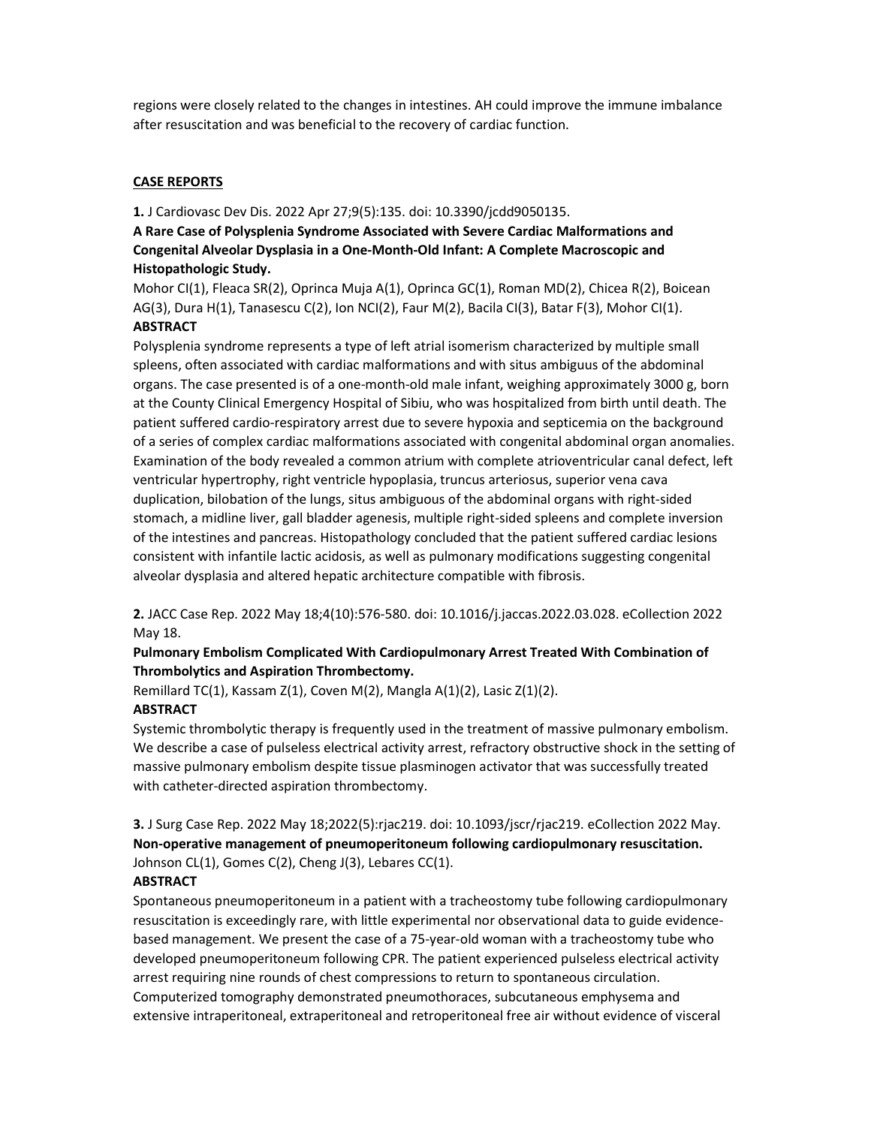regions were closely related to the changes in intestines. AH could improve the immune imbalance after resuscitation and was beneficial to the recovery of cardiac function.

# CASE REPORTS

1. J Cardiovasc Dev Dis. 2022 Apr 27;9(5):135. doi: 10.3390/jcdd9050135.

# A Rare Case of Polysplenia Syndrome Associated with Severe Cardiac Malformations and Congenital Alveolar Dysplasia in a One-Month-Old Infant: A Complete Macroscopic and Histopathologic Study.

Mohor CI(1), Fleaca SR(2), Oprinca Muja A(1), Oprinca GC(1), Roman MD(2), Chicea R(2), Boicean AG(3), Dura H(1), Tanasescu C(2), Ion NCI(2), Faur M(2), Bacila CI(3), Batar F(3), Mohor CI(1). **ABSTRACT** 

Polysplenia syndrome represents a type of left atrial isomerism characterized by multiple small spleens, often associated with cardiac malformations and with situs ambiguus of the abdominal organs. The case presented is of a one-month-old male infant, weighing approximately 3000 g, born at the County Clinical Emergency Hospital of Sibiu, who was hospitalized from birth until death. The patient suffered cardio-respiratory arrest due to severe hypoxia and septicemia on the background of a series of complex cardiac malformations associated with congenital abdominal organ anomalies. Examination of the body revealed a common atrium with complete atrioventricular canal defect, left ventricular hypertrophy, right ventricle hypoplasia, truncus arteriosus, superior vena cava duplication, bilobation of the lungs, situs ambiguous of the abdominal organs with right-sided stomach, a midline liver, gall bladder agenesis, multiple right-sided spleens and complete inversion of the intestines and pancreas. Histopathology concluded that the patient suffered cardiac lesions consistent with infantile lactic acidosis, as well as pulmonary modifications suggesting congenital alveolar dysplasia and altered hepatic architecture compatible with fibrosis.

2. JACC Case Rep. 2022 May 18;4(10):576-580. doi: 10.1016/j.jaccas.2022.03.028. eCollection 2022 May 18.

# Pulmonary Embolism Complicated With Cardiopulmonary Arrest Treated With Combination of Thrombolytics and Aspiration Thrombectomy.

Remillard TC(1), Kassam Z(1), Coven M(2), Mangla A(1)(2), Lasic Z(1)(2).

# ABSTRACT

Systemic thrombolytic therapy is frequently used in the treatment of massive pulmonary embolism. We describe a case of pulseless electrical activity arrest, refractory obstructive shock in the setting of massive pulmonary embolism despite tissue plasminogen activator that was successfully treated with catheter-directed aspiration thrombectomy.

# 3. J Surg Case Rep. 2022 May 18;2022(5):rjac219. doi: 10.1093/jscr/rjac219. eCollection 2022 May. Non-operative management of pneumoperitoneum following cardiopulmonary resuscitation. Johnson CL(1), Gomes C(2), Cheng J(3), Lebares CC(1).

# **ABSTRACT**

Spontaneous pneumoperitoneum in a patient with a tracheostomy tube following cardiopulmonary resuscitation is exceedingly rare, with little experimental nor observational data to guide evidencebased management. We present the case of a 75-year-old woman with a tracheostomy tube who developed pneumoperitoneum following CPR. The patient experienced pulseless electrical activity arrest requiring nine rounds of chest compressions to return to spontaneous circulation. Computerized tomography demonstrated pneumothoraces, subcutaneous emphysema and extensive intraperitoneal, extraperitoneal and retroperitoneal free air without evidence of visceral